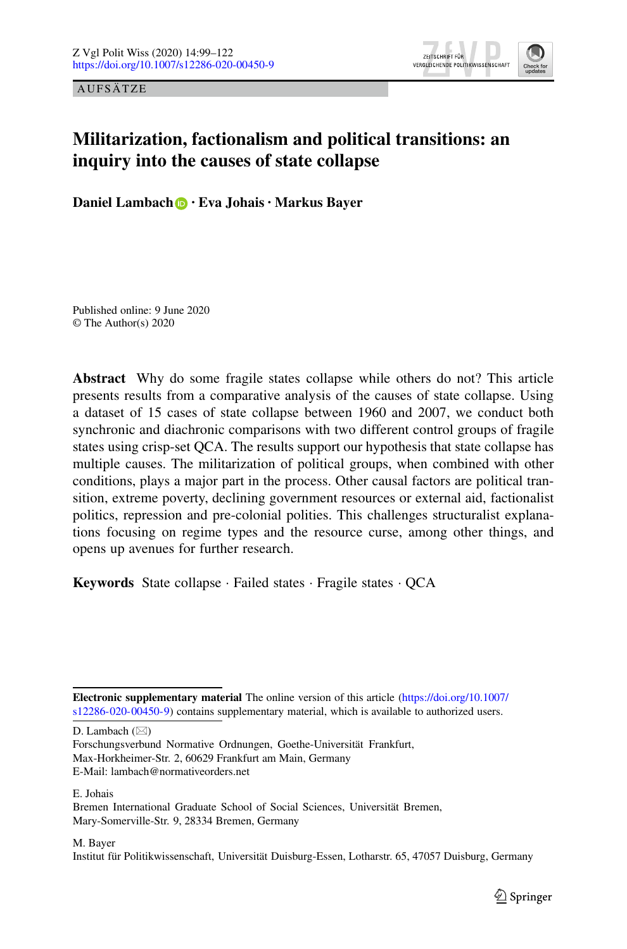AUFSÄTZE



# **Militarization, factionalism and political transitions: an inquiry into the causes of state collapse**

**Daniel Lambach · Eva Johais · Markus Bayer**

Published online: 9 June 2020 © The Author(s) 2020

**Abstract** Why do some fragile states collapse while others do not? This article presents results from a comparative analysis of the causes of state collapse. Using a dataset of 15 cases of state collapse between 1960 and 2007, we conduct both synchronic and diachronic comparisons with two different control groups of fragile states using crisp-set QCA. The results support our hypothesis that state collapse has multiple causes. The militarization of political groups, when combined with other conditions, plays a major part in the process. Other causal factors are political transition, extreme poverty, declining government resources or external aid, factionalist politics, repression and pre-colonial polities. This challenges structuralist explanations focusing on regime types and the resource curse, among other things, and opens up avenues for further research.

**Keywords** State collapse · Failed states · Fragile states · QCA

D. Lambach  $(\boxtimes)$ 

Forschungsverbund Normative Ordnungen, Goethe-Universität Frankfurt, Max-Horkheimer-Str. 2, 60629 Frankfurt am Main, Germany

E. Johais

M. Bayer

Institut für Politikwissenschaft, Universität Duisburg-Essen, Lotharstr. 65, 47057 Duisburg, Germany

**Electronic supplementary material** The online version of this article [\(https://doi.org/10.1007/](https://doi.org/10.1007/s12286-020-00450-9) [s12286-020-00450-9\)](https://doi.org/10.1007/s12286-020-00450-9) contains supplementary material, which is available to authorized users.

E-Mail: lambach@normativeorders.net

Bremen International Graduate School of Social Sciences, Universität Bremen, Mary-Somerville-Str. 9, 28334 Bremen, Germany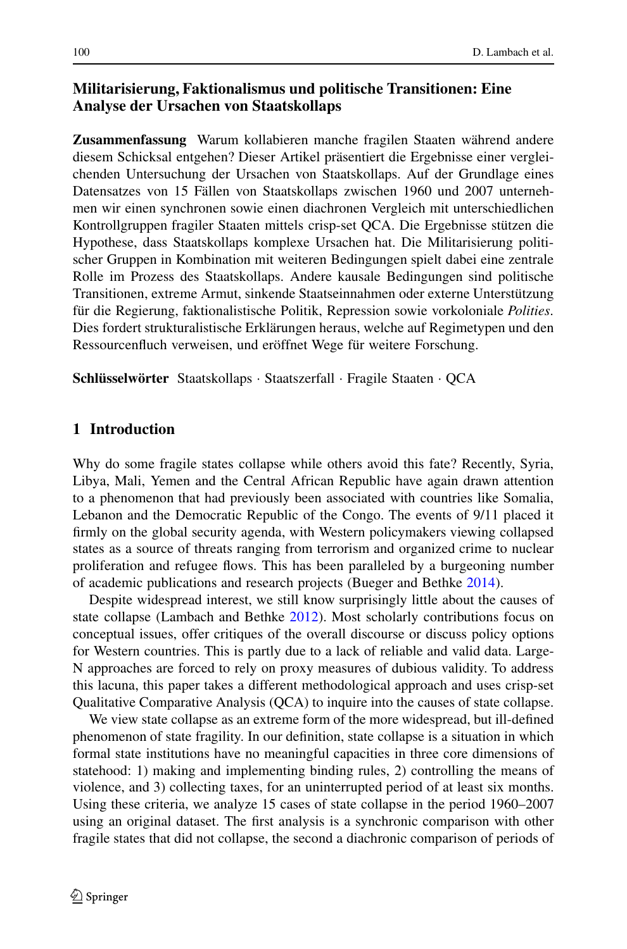## **Militarisierung, Faktionalismus und politische Transitionen: Eine Analyse der Ursachen von Staatskollaps**

**Zusammenfassung** Warum kollabieren manche fragilen Staaten während andere diesem Schicksal entgehen? Dieser Artikel präsentiert die Ergebnisse einer vergleichenden Untersuchung der Ursachen von Staatskollaps. Auf der Grundlage eines Datensatzes von 15 Fällen von Staatskollaps zwischen 1960 und 2007 unternehmen wir einen synchronen sowie einen diachronen Vergleich mit unterschiedlichen Kontrollgruppen fragiler Staaten mittels crisp-set QCA. Die Ergebnisse stützen die Hypothese, dass Staatskollaps komplexe Ursachen hat. Die Militarisierung politischer Gruppen in Kombination mit weiteren Bedingungen spielt dabei eine zentrale Rolle im Prozess des Staatskollaps. Andere kausale Bedingungen sind politische Transitionen, extreme Armut, sinkende Staatseinnahmen oder externe Unterstützung für die Regierung, faktionalistische Politik, Repression sowie vorkoloniale *Polities*. Dies fordert strukturalistische Erklärungen heraus, welche auf Regimetypen und den Ressourcenfluch verweisen, und eröffnet Wege für weitere Forschung.

**Schlüsselwörter** Staatskollaps · Staatszerfall · Fragile Staaten · QCA

### **1 Introduction**

Why do some fragile states collapse while others avoid this fate? Recently, Syria, Libya, Mali, Yemen and the Central African Republic have again drawn attention to a phenomenon that had previously been associated with countries like Somalia, Lebanon and the Democratic Republic of the Congo. The events of 9/11 placed it firmly on the global security agenda, with Western policymakers viewing collapsed states as a source of threats ranging from terrorism and organized crime to nuclear proliferation and refugee flows. This has been paralleled by a burgeoning number of academic publications and research projects (Bueger and Bethke [2014\)](#page-21-0).

Despite widespread interest, we still know surprisingly little about the causes of state collapse (Lambach and Bethke [2012\)](#page-22-0). Most scholarly contributions focus on conceptual issues, offer critiques of the overall discourse or discuss policy options for Western countries. This is partly due to a lack of reliable and valid data. Large-N approaches are forced to rely on proxy measures of dubious validity. To address this lacuna, this paper takes a different methodological approach and uses crisp-set Qualitative Comparative Analysis (QCA) to inquire into the causes of state collapse.

We view state collapse as an extreme form of the more widespread, but ill-defined phenomenon of state fragility. In our definition, state collapse is a situation in which formal state institutions have no meaningful capacities in three core dimensions of statehood: 1) making and implementing binding rules, 2) controlling the means of violence, and 3) collecting taxes, for an uninterrupted period of at least six months. Using these criteria, we analyze 15 cases of state collapse in the period 1960–2007 using an original dataset. The first analysis is a synchronic comparison with other fragile states that did not collapse, the second a diachronic comparison of periods of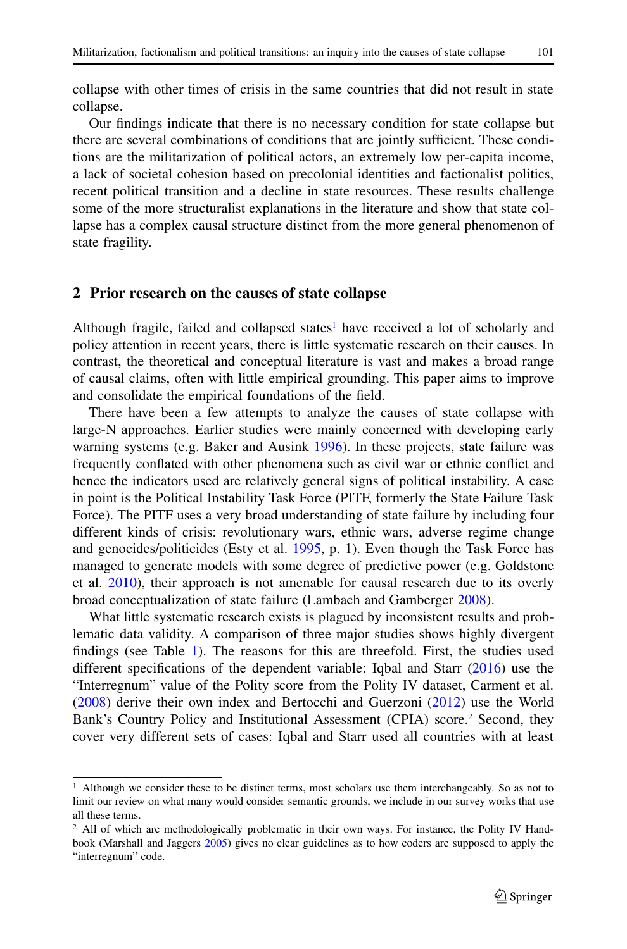collapse with other times of crisis in the same countries that did not result in state collapse.

Our findings indicate that there is no necessary condition for state collapse but there are several combinations of conditions that are jointly sufficient. These conditions are the militarization of political actors, an extremely low per-capita income, a lack of societal cohesion based on precolonial identities and factionalist politics, recent political transition and a decline in state resources. These results challenge some of the more structuralist explanations in the literature and show that state collapse has a complex causal structure distinct from the more general phenomenon of state fragility.

#### **2 Prior research on the causes of state collapse**

Although fragile, failed and collapsed states<sup>1</sup> have received a lot of scholarly and policy attention in recent years, there is little systematic research on their causes. In contrast, the theoretical and conceptual literature is vast and makes a broad range of causal claims, often with little empirical grounding. This paper aims to improve and consolidate the empirical foundations of the field.

There have been a few attempts to analyze the causes of state collapse with large-N approaches. Earlier studies were mainly concerned with developing early warning systems (e.g. Baker and Ausink [1996\)](#page-21-1). In these projects, state failure was frequently conflated with other phenomena such as civil war or ethnic conflict and hence the indicators used are relatively general signs of political instability. A case in point is the Political Instability Task Force (PITF, formerly the State Failure Task Force). The PITF uses a very broad understanding of state failure by including four different kinds of crisis: revolutionary wars, ethnic wars, adverse regime change and genocides/politicides (Esty et al. [1995,](#page-22-1) p. 1). Even though the Task Force has managed to generate models with some degree of predictive power (e.g. Goldstone et al. [2010\)](#page-22-2), their approach is not amenable for causal research due to its overly broad conceptualization of state failure (Lambach and Gamberger [2008\)](#page-22-3).

What little systematic research exists is plagued by inconsistent results and problematic data validity. A comparison of three major studies shows highly divergent findings (see Table [1\)](#page-3-0). The reasons for this are threefold. First, the studies used different specifications of the dependent variable: Iqbal and Starr [\(2016\)](#page-22-4) use the "Interregnum" value of the Polity score from the Polity IV dataset, Carment et al. [\(2008\)](#page-21-2) derive their own index and Bertocchi and Guerzoni [\(2012\)](#page-21-3) use the World Bank's Country Policy and Institutional Assessment (CPIA) score.<sup>2</sup> Second, they cover very different sets of cases: Iqbal and Starr used all countries with at least

<span id="page-2-0"></span><sup>1</sup> Although we consider these to be distinct terms, most scholars use them interchangeably. So as not to limit our review on what many would consider semantic grounds, we include in our survey works that use all these terms.

<span id="page-2-1"></span><sup>&</sup>lt;sup>2</sup> All of which are methodologically problematic in their own ways. For instance, the Polity IV Handbook (Marshall and Jaggers [2005\)](#page-22-5) gives no clear guidelines as to how coders are supposed to apply the "interregnum" code.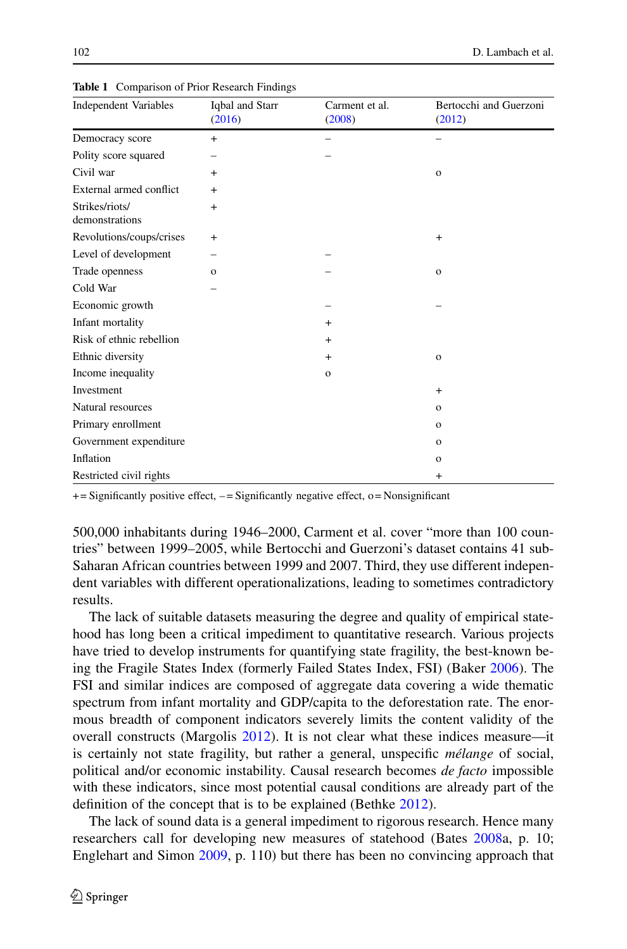| <b>Independent Variables</b>     | Iqbal and Starr<br>(2016) | Carment et al.<br>(2008) | Bertocchi and Guerzoni<br>(2012) |
|----------------------------------|---------------------------|--------------------------|----------------------------------|
| Democracy score                  | $+$                       |                          |                                  |
| Polity score squared             |                           |                          |                                  |
| Civil war                        | $+$                       |                          | $\mathbf{o}$                     |
| External armed conflict          | $+$                       |                          |                                  |
| Strikes/riots/<br>demonstrations | $^{+}$                    |                          |                                  |
| Revolutions/coups/crises         | $+$                       |                          | $+$                              |
| Level of development             |                           |                          |                                  |
| Trade openness                   | $\mathbf{o}$              |                          | $\mathbf{o}$                     |
| Cold War                         |                           |                          |                                  |
| Economic growth                  |                           |                          |                                  |
| Infant mortality                 |                           | $+$                      |                                  |
| Risk of ethnic rebellion         |                           | $+$                      |                                  |
| Ethnic diversity                 |                           | $+$                      | $\mathbf{o}$                     |
| Income inequality                |                           | $\mathbf{o}$             |                                  |
| Investment                       |                           |                          | $+$                              |
| Natural resources                |                           |                          | $\mathbf{o}$                     |
| Primary enrollment               |                           |                          | $\Omega$                         |
| Government expenditure           |                           |                          | $\mathbf{o}$                     |
| Inflation                        |                           |                          | $\mathbf{o}$                     |
| Restricted civil rights          |                           |                          | $+$                              |

<span id="page-3-0"></span>**Table 1** Comparison of Prior Research Findings

 $+=$  Significantly positive effect,  $-$  = Significantly negative effect, o = Nonsignificant

500,000 inhabitants during 1946–2000, Carment et al. cover "more than 100 countries" between 1999–2005, while Bertocchi and Guerzoni's dataset contains 41 sub-Saharan African countries between 1999 and 2007. Third, they use different independent variables with different operationalizations, leading to sometimes contradictory results.

The lack of suitable datasets measuring the degree and quality of empirical statehood has long been a critical impediment to quantitative research. Various projects have tried to develop instruments for quantifying state fragility, the best-known being the Fragile States Index (formerly Failed States Index, FSI) (Baker [2006\)](#page-21-4). The FSI and similar indices are composed of aggregate data covering a wide thematic spectrum from infant mortality and GDP/capita to the deforestation rate. The enormous breadth of component indicators severely limits the content validity of the overall constructs (Margolis [2012\)](#page-22-6). It is not clear what these indices measure—it is certainly not state fragility, but rather a general, unspecific *mélange* of social, political and/or economic instability. Causal research becomes *de facto* impossible with these indicators, since most potential causal conditions are already part of the definition of the concept that is to be explained (Bethke [2012\)](#page-21-5).

The lack of sound data is a general impediment to rigorous research. Hence many researchers call for developing new measures of statehood (Bates [2008a](#page-21-6), p. 10; Englehart and Simon [2009,](#page-22-7) p. 110) but there has been no convincing approach that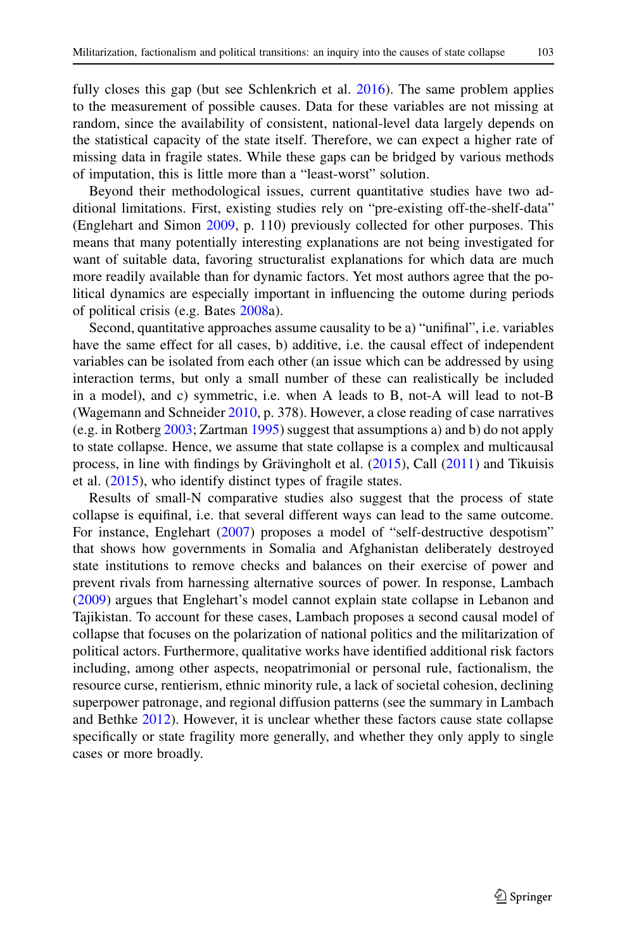fully closes this gap (but see Schlenkrich et al. [2016\)](#page-23-0). The same problem applies to the measurement of possible causes. Data for these variables are not missing at random, since the availability of consistent, national-level data largely depends on the statistical capacity of the state itself. Therefore, we can expect a higher rate of missing data in fragile states. While these gaps can be bridged by various methods of imputation, this is little more than a "least-worst" solution.

Beyond their methodological issues, current quantitative studies have two additional limitations. First, existing studies rely on "pre-existing off-the-shelf-data" (Englehart and Simon [2009,](#page-22-7) p. 110) previously collected for other purposes. This means that many potentially interesting explanations are not being investigated for want of suitable data, favoring structuralist explanations for which data are much more readily available than for dynamic factors. Yet most authors agree that the political dynamics are especially important in influencing the outome during periods of political crisis (e.g. Bates [2008a](#page-21-6)).

Second, quantitative approaches assume causality to be a) "unifinal", i.e. variables have the same effect for all cases, b) additive, i.e. the causal effect of independent variables can be isolated from each other (an issue which can be addressed by using interaction terms, but only a small number of these can realistically be included in a model), and c) symmetric, i.e. when A leads to B, not-A will lead to not-B (Wagemann and Schneider [2010,](#page-23-1) p. 378). However, a close reading of case narratives (e.g. in Rotberg [2003;](#page-23-2) Zartman [1995\)](#page-23-3) suggest that assumptions a) and b) do not apply to state collapse. Hence, we assume that state collapse is a complex and multicausal process, in line with findings by Grävingholt et al. [\(2015\)](#page-22-8), Call [\(2011\)](#page-21-7) and Tikuisis et al. [\(2015\)](#page-23-4), who identify distinct types of fragile states.

Results of small-N comparative studies also suggest that the process of state collapse is equifinal, i.e. that several different ways can lead to the same outcome. For instance, Englehart [\(2007\)](#page-22-9) proposes a model of "self-destructive despotism" that shows how governments in Somalia and Afghanistan deliberately destroyed state institutions to remove checks and balances on their exercise of power and prevent rivals from harnessing alternative sources of power. In response, Lambach [\(2009\)](#page-22-10) argues that Englehart's model cannot explain state collapse in Lebanon and Tajikistan. To account for these cases, Lambach proposes a second causal model of collapse that focuses on the polarization of national politics and the militarization of political actors. Furthermore, qualitative works have identified additional risk factors including, among other aspects, neopatrimonial or personal rule, factionalism, the resource curse, rentierism, ethnic minority rule, a lack of societal cohesion, declining superpower patronage, and regional diffusion patterns (see the summary in Lambach and Bethke [2012\)](#page-22-0). However, it is unclear whether these factors cause state collapse specifically or state fragility more generally, and whether they only apply to single cases or more broadly.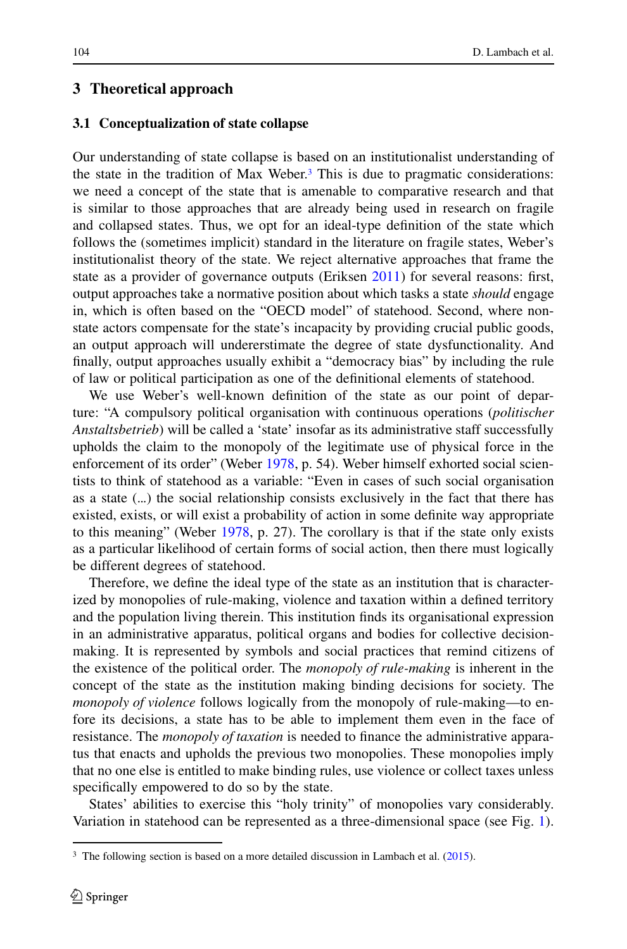#### **3 Theoretical approach**

#### **3.1 Conceptualization of state collapse**

Our understanding of state collapse is based on an institutionalist understanding of the state in the tradition of Max Weber. $3$  This is due to pragmatic considerations: we need a concept of the state that is amenable to comparative research and that is similar to those approaches that are already being used in research on fragile and collapsed states. Thus, we opt for an ideal-type definition of the state which follows the (sometimes implicit) standard in the literature on fragile states, Weber's institutionalist theory of the state. We reject alternative approaches that frame the state as a provider of governance outputs (Eriksen [2011\)](#page-22-11) for several reasons: first, output approaches take a normative position about which tasks a state *should* engage in, which is often based on the "OECD model" of statehood. Second, where nonstate actors compensate for the state's incapacity by providing crucial public goods, an output approach will undererstimate the degree of state dysfunctionality. And finally, output approaches usually exhibit a "democracy bias" by including the rule of law or political participation as one of the definitional elements of statehood.

We use Weber's well-known definition of the state as our point of departure: "A compulsory political organisation with continuous operations (*politischer Anstaltsbetrieb*) will be called a 'state' insofar as its administrative staff successfully upholds the claim to the monopoly of the legitimate use of physical force in the enforcement of its order" (Weber [1978,](#page-23-5) p. 54). Weber himself exhorted social scientists to think of statehood as a variable: "Even in cases of such social organisation as a state (...) the social relationship consists exclusively in the fact that there has existed, exists, or will exist a probability of action in some definite way appropriate to this meaning" (Weber [1978,](#page-23-5) p. 27). The corollary is that if the state only exists as a particular likelihood of certain forms of social action, then there must logically be different degrees of statehood.

Therefore, we define the ideal type of the state as an institution that is characterized by monopolies of rule-making, violence and taxation within a defined territory and the population living therein. This institution finds its organisational expression in an administrative apparatus, political organs and bodies for collective decisionmaking. It is represented by symbols and social practices that remind citizens of the existence of the political order. The *monopoly of rule-making* is inherent in the concept of the state as the institution making binding decisions for society. The *monopoly of violence* follows logically from the monopoly of rule-making—to enfore its decisions, a state has to be able to implement them even in the face of resistance. The *monopoly of taxation* is needed to finance the administrative apparatus that enacts and upholds the previous two monopolies. These monopolies imply that no one else is entitled to make binding rules, use violence or collect taxes unless specifically empowered to do so by the state.

States' abilities to exercise this "holy trinity" of monopolies vary considerably. Variation in statehood can be represented as a three-dimensional space (see Fig. [1\)](#page-6-0).

<span id="page-5-0"></span> $3$  The following section is based on a more detailed discussion in Lambach et al.  $(2015)$ .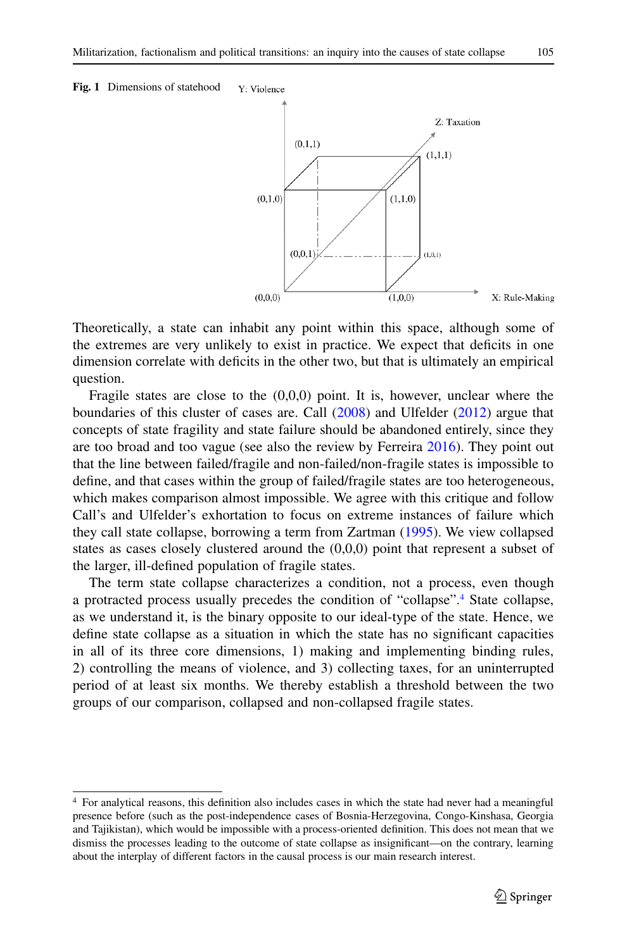<span id="page-6-0"></span>



Theoretically, a state can inhabit any point within this space, although some of the extremes are very unlikely to exist in practice. We expect that deficits in one dimension correlate with deficits in the other two, but that is ultimately an empirical question.

Fragile states are close to the  $(0,0,0)$  point. It is, however, unclear where the boundaries of this cluster of cases are. Call [\(2008\)](#page-21-8) and Ulfelder [\(2012\)](#page-23-6) argue that concepts of state fragility and state failure should be abandoned entirely, since they are too broad and too vague (see also the review by Ferreira [2016\)](#page-22-13). They point out that the line between failed/fragile and non-failed/non-fragile states is impossible to define, and that cases within the group of failed/fragile states are too heterogeneous, which makes comparison almost impossible. We agree with this critique and follow Call's and Ulfelder's exhortation to focus on extreme instances of failure which they call state collapse, borrowing a term from Zartman [\(1995\)](#page-23-3). We view collapsed states as cases closely clustered around the (0,0,0) point that represent a subset of the larger, ill-defined population of fragile states.

The term state collapse characterizes a condition, not a process, even though a protracted process usually precedes the condition of "collapse"[.4](#page-6-1) State collapse, as we understand it, is the binary opposite to our ideal-type of the state. Hence, we define state collapse as a situation in which the state has no significant capacities in all of its three core dimensions, 1) making and implementing binding rules, 2) controlling the means of violence, and 3) collecting taxes, for an uninterrupted period of at least six months. We thereby establish a threshold between the two groups of our comparison, collapsed and non-collapsed fragile states.

<span id="page-6-1"></span><sup>4</sup> For analytical reasons, this definition also includes cases in which the state had never had a meaningful presence before (such as the post-independence cases of Bosnia-Herzegovina, Congo-Kinshasa, Georgia and Tajikistan), which would be impossible with a process-oriented definition. This does not mean that we dismiss the processes leading to the outcome of state collapse as insignificant—on the contrary, learning about the interplay of different factors in the causal process is our main research interest.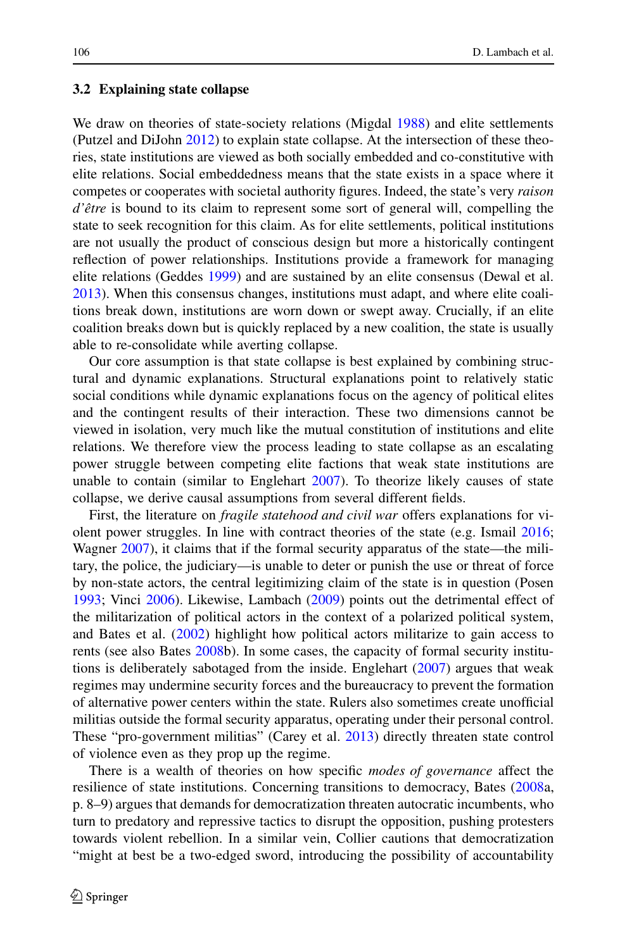#### **3.2 Explaining state collapse**

We draw on theories of state-society relations (Migdal [1988\)](#page-22-14) and elite settlements (Putzel and DiJohn [2012\)](#page-22-15) to explain state collapse. At the intersection of these theories, state institutions are viewed as both socially embedded and co-constitutive with elite relations. Social embeddedness means that the state exists in a space where it competes or cooperates with societal authority figures. Indeed, the state's very *raison d'être* is bound to its claim to represent some sort of general will, compelling the state to seek recognition for this claim. As for elite settlements, political institutions are not usually the product of conscious design but more a historically contingent reflection of power relationships. Institutions provide a framework for managing elite relations (Geddes [1999\)](#page-22-16) and are sustained by an elite consensus (Dewal et al. [2013\)](#page-22-17). When this consensus changes, institutions must adapt, and where elite coalitions break down, institutions are worn down or swept away. Crucially, if an elite coalition breaks down but is quickly replaced by a new coalition, the state is usually able to re-consolidate while averting collapse.

Our core assumption is that state collapse is best explained by combining structural and dynamic explanations. Structural explanations point to relatively static social conditions while dynamic explanations focus on the agency of political elites and the contingent results of their interaction. These two dimensions cannot be viewed in isolation, very much like the mutual constitution of institutions and elite relations. We therefore view the process leading to state collapse as an escalating power struggle between competing elite factions that weak state institutions are unable to contain (similar to Englehart  $2007$ ). To theorize likely causes of state collapse, we derive causal assumptions from several different fields.

First, the literature on *fragile statehood and civil war* offers explanations for violent power struggles. In line with contract theories of the state (e.g. Ismail [2016;](#page-22-18) Wagner [2007\)](#page-23-7), it claims that if the formal security apparatus of the state—the military, the police, the judiciary—is unable to deter or punish the use or threat of force by non-state actors, the central legitimizing claim of the state is in question (Posen [1993;](#page-22-19) Vinci [2006\)](#page-23-8). Likewise, Lambach [\(2009\)](#page-22-10) points out the detrimental effect of the militarization of political actors in the context of a polarized political system, and Bates et al. [\(2002\)](#page-21-9) highlight how political actors militarize to gain access to rents (see also Bates [2008b](#page-21-10)). In some cases, the capacity of formal security institutions is deliberately sabotaged from the inside. Englehart  $(2007)$  argues that weak regimes may undermine security forces and the bureaucracy to prevent the formation of alternative power centers within the state. Rulers also sometimes create unofficial militias outside the formal security apparatus, operating under their personal control. These "pro-government militias" (Carey et al. [2013\)](#page-21-11) directly threaten state control of violence even as they prop up the regime.

There is a wealth of theories on how specific *modes of governance* affect the resilience of state institutions. Concerning transitions to democracy, Bates [\(2008a](#page-21-6), p. 8–9) argues that demands for democratization threaten autocratic incumbents, who turn to predatory and repressive tactics to disrupt the opposition, pushing protesters towards violent rebellion. In a similar vein, Collier cautions that democratization "might at best be a two-edged sword, introducing the possibility of accountability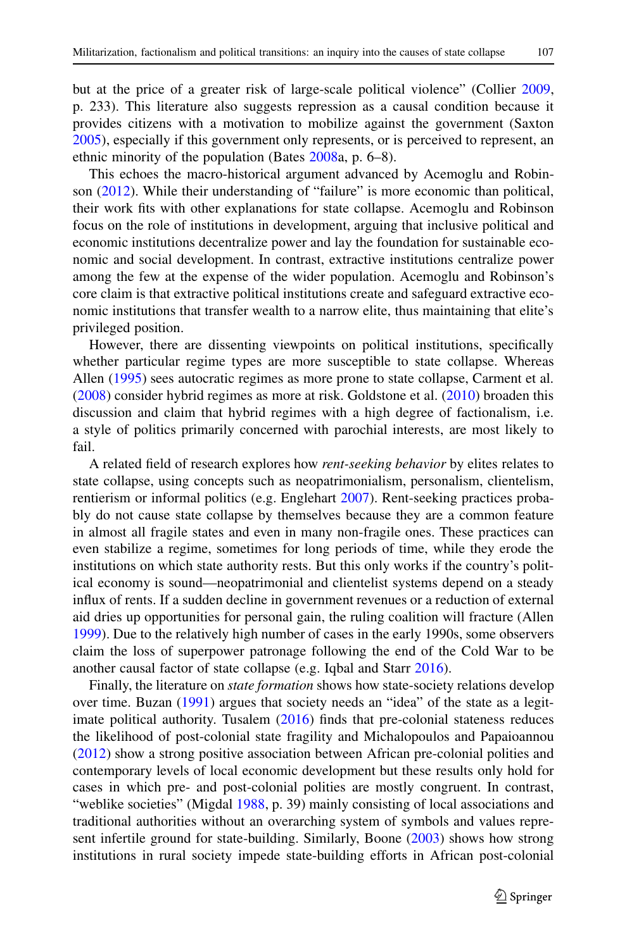but at the price of a greater risk of large-scale political violence" (Collier [2009,](#page-21-12) p. 233). This literature also suggests repression as a causal condition because it provides citizens with a motivation to mobilize against the government (Saxton [2005\)](#page-23-9), especially if this government only represents, or is perceived to represent, an ethnic minority of the population (Bates [2008a](#page-21-6), p. 6–8).

This echoes the macro-historical argument advanced by Acemoglu and Robinson [\(2012\)](#page-21-13). While their understanding of "failure" is more economic than political, their work fits with other explanations for state collapse. Acemoglu and Robinson focus on the role of institutions in development, arguing that inclusive political and economic institutions decentralize power and lay the foundation for sustainable economic and social development. In contrast, extractive institutions centralize power among the few at the expense of the wider population. Acemoglu and Robinson's core claim is that extractive political institutions create and safeguard extractive economic institutions that transfer wealth to a narrow elite, thus maintaining that elite's privileged position.

However, there are dissenting viewpoints on political institutions, specifically whether particular regime types are more susceptible to state collapse. Whereas Allen [\(1995\)](#page-21-14) sees autocratic regimes as more prone to state collapse, Carment et al. [\(2008\)](#page-21-2) consider hybrid regimes as more at risk. Goldstone et al. [\(2010\)](#page-22-2) broaden this discussion and claim that hybrid regimes with a high degree of factionalism, i.e. a style of politics primarily concerned with parochial interests, are most likely to fail.

A related field of research explores how *rent-seeking behavior* by elites relates to state collapse, using concepts such as neopatrimonialism, personalism, clientelism, rentierism or informal politics (e.g. Englehart [2007\)](#page-22-9). Rent-seeking practices probably do not cause state collapse by themselves because they are a common feature in almost all fragile states and even in many non-fragile ones. These practices can even stabilize a regime, sometimes for long periods of time, while they erode the institutions on which state authority rests. But this only works if the country's political economy is sound—neopatrimonial and clientelist systems depend on a steady influx of rents. If a sudden decline in government revenues or a reduction of external aid dries up opportunities for personal gain, the ruling coalition will fracture (Allen [1999\)](#page-21-15). Due to the relatively high number of cases in the early 1990s, some observers claim the loss of superpower patronage following the end of the Cold War to be another causal factor of state collapse (e.g. Iqbal and Starr [2016\)](#page-22-4).

Finally, the literature on *state formation* shows how state-society relations develop over time. Buzan [\(1991\)](#page-21-16) argues that society needs an "idea" of the state as a legitimate political authority. Tusalem [\(2016\)](#page-23-10) finds that pre-colonial stateness reduces the likelihood of post-colonial state fragility and Michalopoulos and Papaioannou [\(2012\)](#page-22-20) show a strong positive association between African pre-colonial polities and contemporary levels of local economic development but these results only hold for cases in which pre- and post-colonial polities are mostly congruent. In contrast, "weblike societies" (Migdal [1988,](#page-22-14) p. 39) mainly consisting of local associations and traditional authorities without an overarching system of symbols and values represent infertile ground for state-building. Similarly, Boone [\(2003\)](#page-21-17) shows how strong institutions in rural society impede state-building efforts in African post-colonial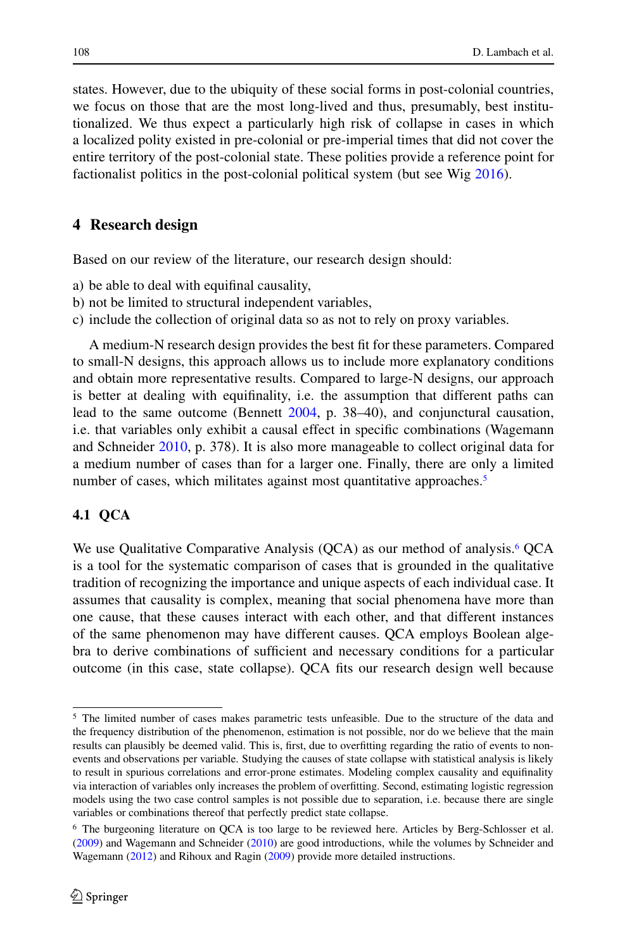states. However, due to the ubiquity of these social forms in post-colonial countries, we focus on those that are the most long-lived and thus, presumably, best institutionalized. We thus expect a particularly high risk of collapse in cases in which a localized polity existed in pre-colonial or pre-imperial times that did not cover the entire territory of the post-colonial state. These polities provide a reference point for factionalist politics in the post-colonial political system (but see Wig [2016\)](#page-23-11).

## **4 Research design**

Based on our review of the literature, our research design should:

- a) be able to deal with equifinal causality,
- b) not be limited to structural independent variables,
- c) include the collection of original data so as not to rely on proxy variables.

A medium-N research design provides the best fit for these parameters. Compared to small-N designs, this approach allows us to include more explanatory conditions and obtain more representative results. Compared to large-N designs, our approach is better at dealing with equifinality, i.e. the assumption that different paths can lead to the same outcome (Bennett [2004,](#page-21-18) p. 38–40), and conjunctural causation, i.e. that variables only exhibit a causal effect in specific combinations (Wagemann and Schneider [2010,](#page-23-1) p. 378). It is also more manageable to collect original data for a medium number of cases than for a larger one. Finally, there are only a limited number of cases, which militates against most quantitative approaches.<sup>5</sup>

### **4.1 QCA**

We use Qualitative Comparative Analysis  $(QCA)$  as our method of analysis.<sup>6</sup>  $QCA$ is a tool for the systematic comparison of cases that is grounded in the qualitative tradition of recognizing the importance and unique aspects of each individual case. It assumes that causality is complex, meaning that social phenomena have more than one cause, that these causes interact with each other, and that different instances of the same phenomenon may have different causes. QCA employs Boolean algebra to derive combinations of sufficient and necessary conditions for a particular outcome (in this case, state collapse). QCA fits our research design well because

<span id="page-9-0"></span><sup>5</sup> The limited number of cases makes parametric tests unfeasible. Due to the structure of the data and the frequency distribution of the phenomenon, estimation is not possible, nor do we believe that the main results can plausibly be deemed valid. This is, first, due to overfitting regarding the ratio of events to nonevents and observations per variable. Studying the causes of state collapse with statistical analysis is likely to result in spurious correlations and error-prone estimates. Modeling complex causality and equifinality via interaction of variables only increases the problem of overfitting. Second, estimating logistic regression models using the two case control samples is not possible due to separation, i.e. because there are single variables or combinations thereof that perfectly predict state collapse.

<span id="page-9-1"></span><sup>6</sup> The burgeoning literature on QCA is too large to be reviewed here. Articles by Berg-Schlosser et al. [\(2009\)](#page-21-19) and Wagemann and Schneider [\(2010\)](#page-23-1) are good introductions, while the volumes by Schneider and Wagemann [\(2012\)](#page-23-12) and Rihoux and Ragin [\(2009\)](#page-23-13) provide more detailed instructions.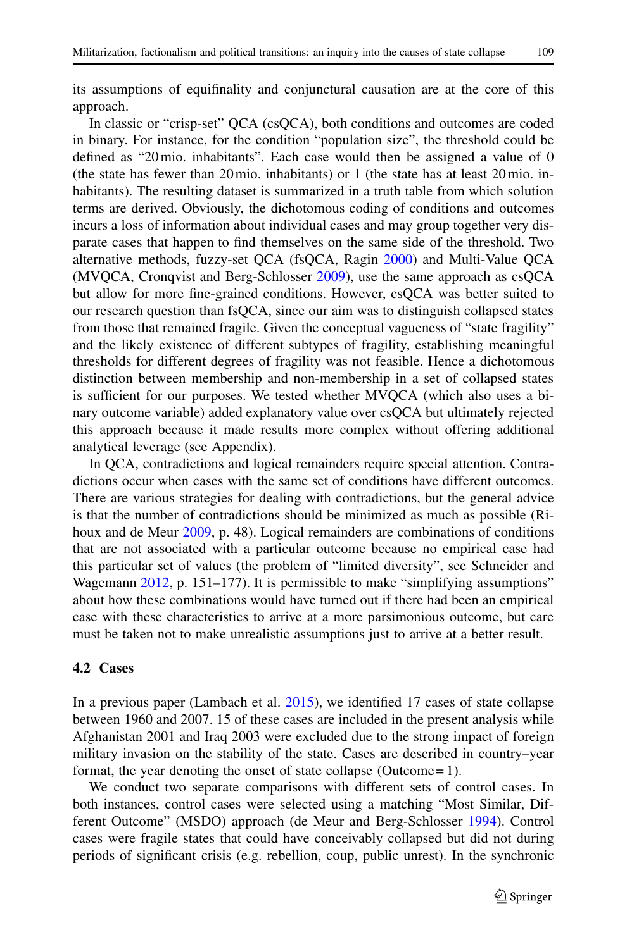its assumptions of equifinality and conjunctural causation are at the core of this approach.

In classic or "crisp-set" QCA (csQCA), both conditions and outcomes are coded in binary. For instance, for the condition "population size", the threshold could be defined as "20mio. inhabitants". Each case would then be assigned a value of 0 (the state has fewer than 20mio. inhabitants) or 1 (the state has at least 20mio. inhabitants). The resulting dataset is summarized in a truth table from which solution terms are derived. Obviously, the dichotomous coding of conditions and outcomes incurs a loss of information about individual cases and may group together very disparate cases that happen to find themselves on the same side of the threshold. Two alternative methods, fuzzy-set QCA (fsQCA, Ragin [2000\)](#page-23-14) and Multi-Value QCA (MVQCA, Cronqvist and Berg-Schlosser [2009\)](#page-21-20), use the same approach as csQCA but allow for more fine-grained conditions. However, csQCA was better suited to our research question than fsQCA, since our aim was to distinguish collapsed states from those that remained fragile. Given the conceptual vagueness of "state fragility" and the likely existence of different subtypes of fragility, establishing meaningful thresholds for different degrees of fragility was not feasible. Hence a dichotomous distinction between membership and non-membership in a set of collapsed states is sufficient for our purposes. We tested whether MVQCA (which also uses a binary outcome variable) added explanatory value over csQCA but ultimately rejected this approach because it made results more complex without offering additional analytical leverage (see Appendix).

In QCA, contradictions and logical remainders require special attention. Contradictions occur when cases with the same set of conditions have different outcomes. There are various strategies for dealing with contradictions, but the general advice is that the number of contradictions should be minimized as much as possible (Rihoux and de Meur [2009,](#page-23-15) p. 48). Logical remainders are combinations of conditions that are not associated with a particular outcome because no empirical case had this particular set of values (the problem of "limited diversity", see Schneider and Wagemann [2012,](#page-23-12) p. 151–177). It is permissible to make "simplifying assumptions" about how these combinations would have turned out if there had been an empirical case with these characteristics to arrive at a more parsimonious outcome, but care must be taken not to make unrealistic assumptions just to arrive at a better result.

#### **4.2 Cases**

In a previous paper (Lambach et al. [2015\)](#page-22-12), we identified 17 cases of state collapse between 1960 and 2007. 15 of these cases are included in the present analysis while Afghanistan 2001 and Iraq 2003 were excluded due to the strong impact of foreign military invasion on the stability of the state. Cases are described in country–year format, the year denoting the onset of state collapse (Outcome = 1).

We conduct two separate comparisons with different sets of control cases. In both instances, control cases were selected using a matching "Most Similar, Different Outcome" (MSDO) approach (de Meur and Berg-Schlosser [1994\)](#page-22-21). Control cases were fragile states that could have conceivably collapsed but did not during periods of significant crisis (e.g. rebellion, coup, public unrest). In the synchronic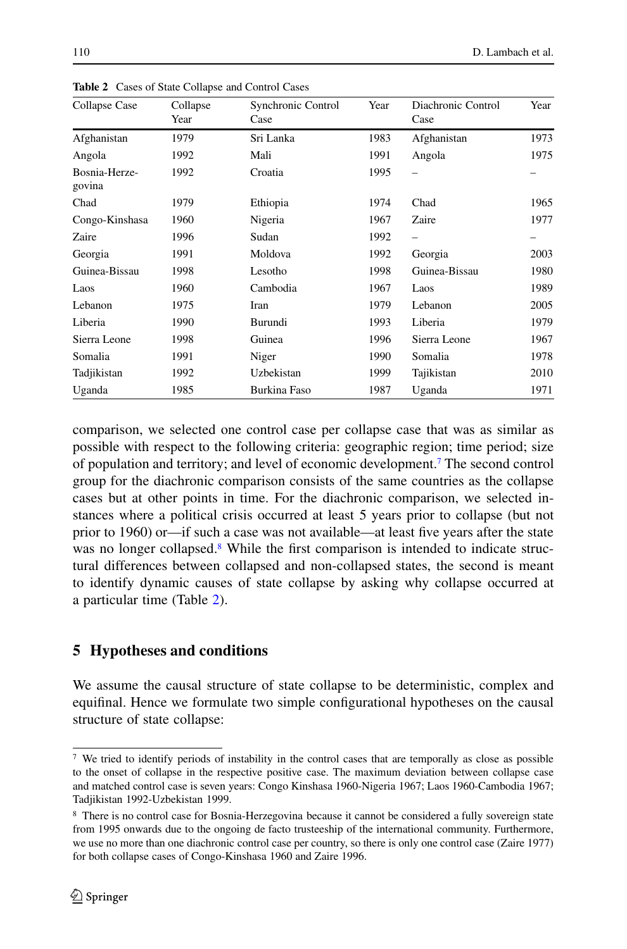| Collapse Case           | Collapse<br>Year | Synchronic Control<br>Case | Year | Diachronic Control<br>Case | Year |
|-------------------------|------------------|----------------------------|------|----------------------------|------|
| Afghanistan             | 1979             | Sri Lanka                  | 1983 | Afghanistan                | 1973 |
| Angola                  | 1992             | Mali                       | 1991 | Angola                     | 1975 |
| Bosnia-Herze-<br>govina | 1992             | Croatia                    | 1995 |                            |      |
| Chad                    | 1979             | Ethiopia                   | 1974 | Chad                       | 1965 |
| Congo-Kinshasa          | 1960             | Nigeria                    | 1967 | Zaire                      | 1977 |
| Zaire                   | 1996             | Sudan                      | 1992 |                            |      |
| Georgia                 | 1991             | Moldova                    | 1992 | Georgia                    | 2003 |
| Guinea-Bissau           | 1998             | Lesotho                    | 1998 | Guinea-Bissau              | 1980 |
| Laos                    | 1960             | Cambodia                   | 1967 | Laos                       | 1989 |
| Lebanon                 | 1975             | Iran                       | 1979 | Lebanon                    | 2005 |
| Liberia                 | 1990             | Burundi                    | 1993 | Liberia                    | 1979 |
| Sierra Leone            | 1998             | Guinea                     | 1996 | Sierra Leone               | 1967 |
| Somalia                 | 1991             | Niger                      | 1990 | Somalia                    | 1978 |
| Tadjikistan             | 1992             | Uzbekistan                 | 1999 | Tajikistan                 | 2010 |
| Uganda                  | 1985             | Burkina Faso               | 1987 | Uganda                     | 1971 |

<span id="page-11-2"></span>**Table 2** Cases of State Collapse and Control Cases

comparison, we selected one control case per collapse case that was as similar as possible with respect to the following criteria: geographic region; time period; size of population and territory; and level of economic development[.7](#page-11-0) The second control group for the diachronic comparison consists of the same countries as the collapse cases but at other points in time. For the diachronic comparison, we selected instances where a political crisis occurred at least 5 years prior to collapse (but not prior to 1960) or—if such a case was not available—at least five years after the state was no longer collapsed.<sup>8</sup> While the first comparison is intended to indicate structural differences between collapsed and non-collapsed states, the second is meant to identify dynamic causes of state collapse by asking why collapse occurred at a particular time (Table [2\)](#page-11-2).

## **5 Hypotheses and conditions**

We assume the causal structure of state collapse to be deterministic, complex and equifinal. Hence we formulate two simple configurational hypotheses on the causal structure of state collapse:

<span id="page-11-0"></span><sup>7</sup> We tried to identify periods of instability in the control cases that are temporally as close as possible to the onset of collapse in the respective positive case. The maximum deviation between collapse case and matched control case is seven years: Congo Kinshasa 1960-Nigeria 1967; Laos 1960-Cambodia 1967; Tadjikistan 1992-Uzbekistan 1999.

<span id="page-11-1"></span><sup>8</sup> There is no control case for Bosnia-Herzegovina because it cannot be considered a fully sovereign state from 1995 onwards due to the ongoing de facto trusteeship of the international community. Furthermore, we use no more than one diachronic control case per country, so there is only one control case (Zaire 1977) for both collapse cases of Congo-Kinshasa 1960 and Zaire 1996.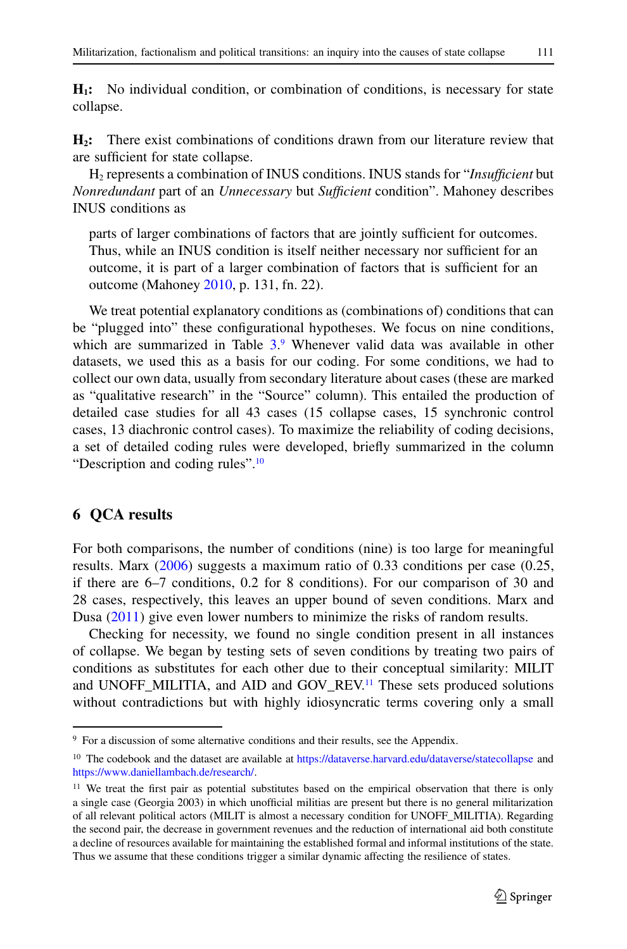**H1:** No individual condition, or combination of conditions, is necessary for state collapse.

**H2:** There exist combinations of conditions drawn from our literature review that are sufficient for state collapse.

H2 represents a combination of INUS conditions. INUS stands for "*Insufficient* but *Nonredundant* part of an *Unnecessary* but *Sufficient* condition". Mahoney describes INUS conditions as

parts of larger combinations of factors that are jointly sufficient for outcomes. Thus, while an INUS condition is itself neither necessary nor sufficient for an outcome, it is part of a larger combination of factors that is sufficient for an outcome (Mahoney [2010,](#page-22-22) p. 131, fn. 22).

We treat potential explanatory conditions as (combinations of) conditions that can be "plugged into" these configurational hypotheses. We focus on nine conditions, which are summarized in Table [3.](#page-13-0)<sup>[9](#page-12-0)</sup> Whenever valid data was available in other datasets, we used this as a basis for our coding. For some conditions, we had to collect our own data, usually from secondary literature about cases (these are marked as "qualitative research" in the "Source" column). This entailed the production of detailed case studies for all 43 cases (15 collapse cases, 15 synchronic control cases, 13 diachronic control cases). To maximize the reliability of coding decisions, a set of detailed coding rules were developed, briefly summarized in the column "Description and coding rules"[.10](#page-12-1)

## **6 QCA results**

For both comparisons, the number of conditions (nine) is too large for meaningful results. Marx [\(2006\)](#page-22-23) suggests a maximum ratio of 0.33 conditions per case (0.25, if there are 6–7 conditions, 0.2 for 8 conditions). For our comparison of 30 and 28 cases, respectively, this leaves an upper bound of seven conditions. Marx and Dusa [\(2011\)](#page-22-24) give even lower numbers to minimize the risks of random results.

Checking for necessity, we found no single condition present in all instances of collapse. We began by testing sets of seven conditions by treating two pairs of conditions as substitutes for each other due to their conceptual similarity: MILIT and UNOFF\_MILITIA, and AID and GOV\_REV[.11](#page-12-2) These sets produced solutions without contradictions but with highly idiosyncratic terms covering only a small

<span id="page-12-1"></span><span id="page-12-0"></span><sup>&</sup>lt;sup>9</sup> For a discussion of some alternative conditions and their results, see the Appendix.

<sup>&</sup>lt;sup>10</sup> The codebook and the dataset are available at <https://dataverse.harvard.edu/dataverse/statecollapse> and [https://www.daniellambach.de/research/.](https://www.daniellambach.de/research/)

<span id="page-12-2"></span><sup>&</sup>lt;sup>11</sup> We treat the first pair as potential substitutes based on the empirical observation that there is only a single case (Georgia 2003) in which unofficial militias are present but there is no general militarization of all relevant political actors (MILIT is almost a necessary condition for UNOFF\_MILITIA). Regarding the second pair, the decrease in government revenues and the reduction of international aid both constitute a decline of resources available for maintaining the established formal and informal institutions of the state. Thus we assume that these conditions trigger a similar dynamic affecting the resilience of states.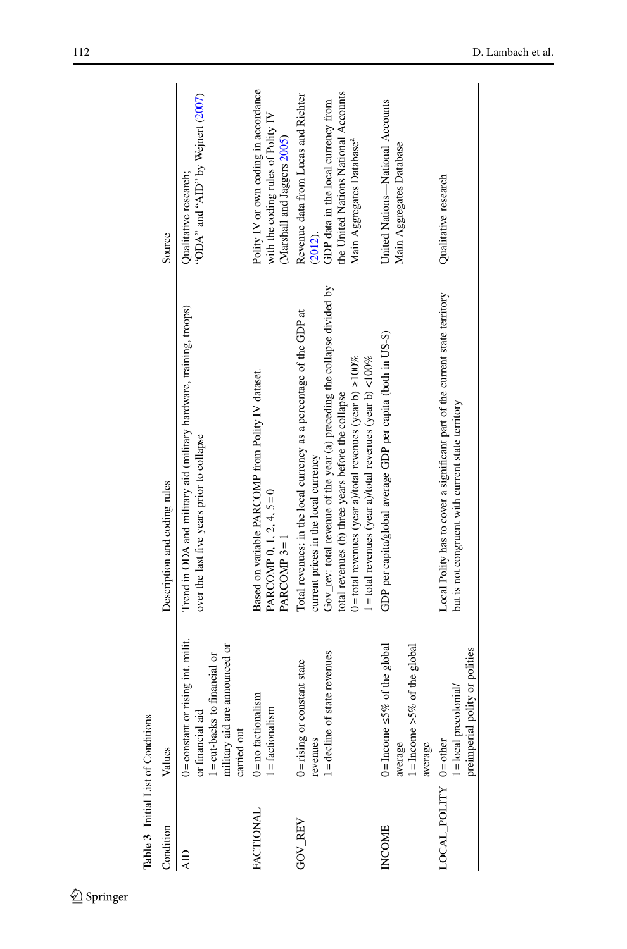| Table 3 Initial List of Conditions |                                                                                                                                           |                                                                                                                                                                                                                                                                                                                                                                                        |                                                                                                                                                                           |
|------------------------------------|-------------------------------------------------------------------------------------------------------------------------------------------|----------------------------------------------------------------------------------------------------------------------------------------------------------------------------------------------------------------------------------------------------------------------------------------------------------------------------------------------------------------------------------------|---------------------------------------------------------------------------------------------------------------------------------------------------------------------------|
| Condition                          | Values                                                                                                                                    | Description and coding rules                                                                                                                                                                                                                                                                                                                                                           | Source                                                                                                                                                                    |
| ЯÞ                                 | $0 = constant$ or rising int. milit.<br>military aid are announced or<br>l = cut-backs to financial or<br>or financial aid<br>carried out | Trend in ODA and military aid (military hardware, training, troops)<br>over the last five years prior to collapse                                                                                                                                                                                                                                                                      | "ODA" and "AID" by Wejnert (2007)<br>Qualitative research;                                                                                                                |
| FACTIONAL                          | $0 = no$ factionalism<br>$l =$ factionalism                                                                                               | Based on variable PARCOMP from Polity IV dataset.<br>PARCOMP 0, 1, 2, 4, $5=0$<br>PARCOMP <sub>3=1</sub>                                                                                                                                                                                                                                                                               | Polity IV or own coding in accordance<br>with the coding rules of Polity IV<br>(Marshall and Jaggers 2005)                                                                |
| <b>GOV REV</b>                     | state revenues<br>$0 =$ rising or constant state<br>$1 =$ decline of<br>revenues                                                          | Gov_rev: total revenue of the year (a) preceding the collapse divided by<br>Total revenues: in the local currency as a percentage of the GDP at<br>$0 =$ total revenues (year a)/total revenues (year b) $\geq 100\%$<br>$1 =$ total revenues (year a)/total revenues (year b) < $100\%$<br>total revenues (b) three years before the collapse<br>current prices in the local currency | the United Nations National Accounts<br>Revenue data from Lucas and Richter<br>GDP data in the local currency from<br>Main Aggregates Database <sup>a</sup><br>$(2012)$ . |
| <b>INCOME</b>                      | $0 =$ Income $\leq 5\%$ of the global<br>$l =$ Income >5% of the global<br>average<br>average                                             | GDP per capita/global average GDP per capita (both in US-\$)                                                                                                                                                                                                                                                                                                                           | United Nations-National Accounts<br>Main Aggregates Database                                                                                                              |
| OCAL_POLITY 0=other                | preimperial polity or polities<br>1 = local precolonial/                                                                                  | Local Polity has to cover a significant part of the current state territory<br>but is not congruent with current state territory                                                                                                                                                                                                                                                       | Qualitative research                                                                                                                                                      |
|                                    |                                                                                                                                           |                                                                                                                                                                                                                                                                                                                                                                                        |                                                                                                                                                                           |

<span id="page-13-0"></span> $\underline{\textcircled{\tiny 2}}$  Springer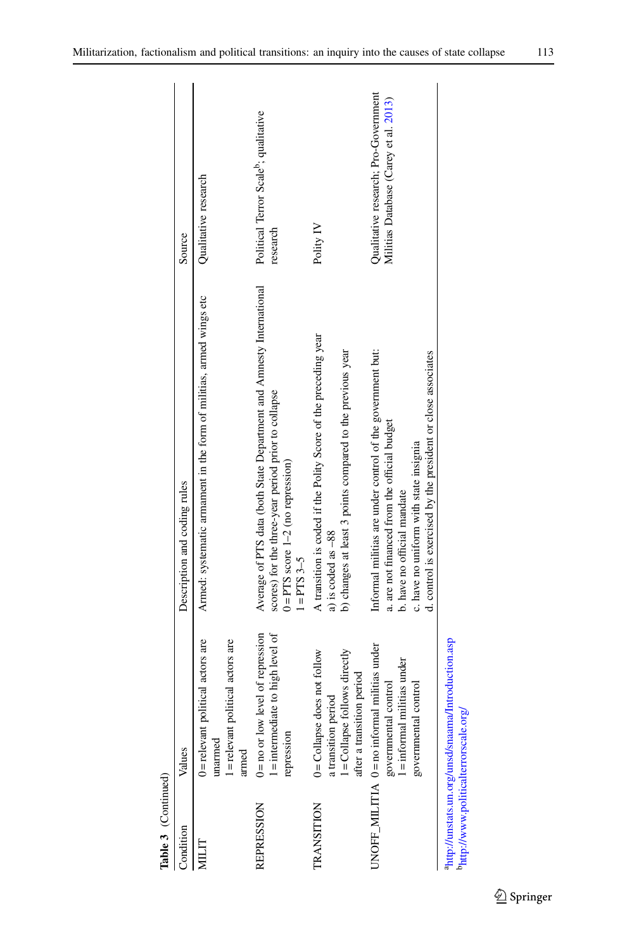| Table 3 (Continued)                  |                                                                                                                                       |                                                                                                                                                                                                                                                     |                                                                               |
|--------------------------------------|---------------------------------------------------------------------------------------------------------------------------------------|-----------------------------------------------------------------------------------------------------------------------------------------------------------------------------------------------------------------------------------------------------|-------------------------------------------------------------------------------|
| Condition                            | Values                                                                                                                                | Description and coding rules                                                                                                                                                                                                                        | Source                                                                        |
| NILIT                                | political actors are<br>political actors are<br>$0 =$ relevant<br>$1 =$ relevant<br>unarmed<br>armed                                  | Armed: systematic armament in the form of militias, armed wings etc                                                                                                                                                                                 | Qualitative research                                                          |
| <b>REPRESSION</b>                    | 1 = intermediate to high level of<br>$0 = no$ or low level of repression<br>repression                                                | Average of PTS data (both State Department and Annesty International<br>scores) for the three-year period prior to collapse<br>$0 = PTS$ score $1-2$ (no repression)<br>$1 = PTS3 - 5$                                                              | Political Terror Scale <sup>b</sup> ; qualitative<br>research                 |
| <b>TRANSITION</b>                    | 1=Collapse follows directly<br>$0 =$ Collapse does not follow<br>after a transition period<br>a transition period                     | A transition is coded if the Polity Score of the preceding year<br>b) changes at least 3 points compared to the previous year<br>a) is coded as -88                                                                                                 | Polity IV                                                                     |
|                                      | $UNOFF\_MILITLA$ 0 = no informal militias under<br>$l =$ informal militias under $\,$<br>governmental control<br>governmental control | Informal militias are under control of the government but:<br>d. control is exercised by the president or close associates<br>a. are not financed from the official budget<br>c. have no uniform with state insignia<br>b. have no official mandate | Qualitative research; Pro-Government<br>Militias Database (Carey et al. 2013) |
| http://www.politicalterrorscale.org/ | ahttp://unstats.un.org/unsd/snaama/Introduction.asp                                                                                   |                                                                                                                                                                                                                                                     |                                                                               |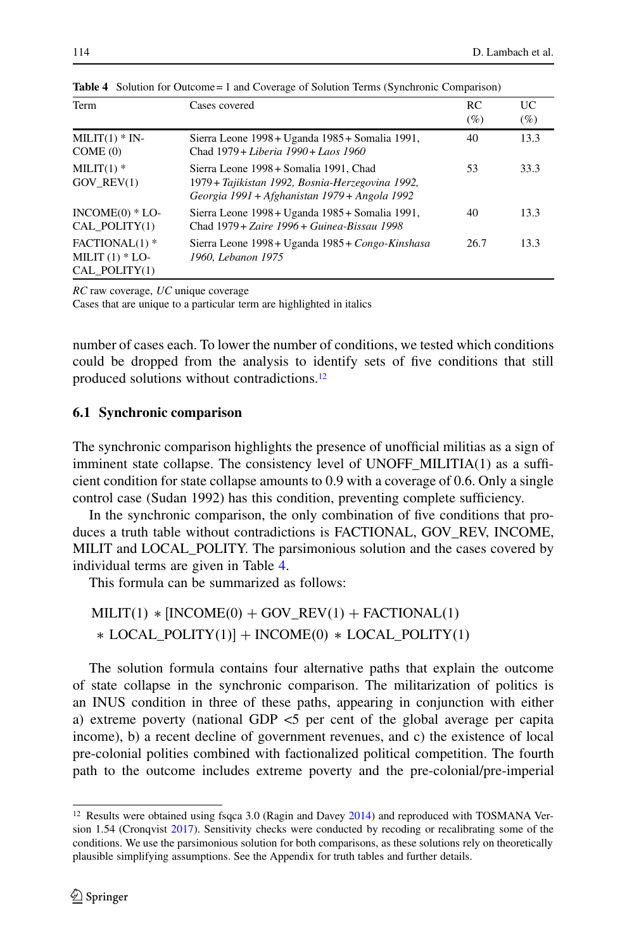| Term                                                   | Cases covered                                                                                                                               | RC<br>$(\%)$ | UC<br>$(\%)$ |
|--------------------------------------------------------|---------------------------------------------------------------------------------------------------------------------------------------------|--------------|--------------|
| $MILIT(1) * IN-$<br>COME(0)                            | Sierra Leone 1998 + Uganda 1985 + Somalia 1991,<br>Chad 1979 + Liberia 1990 + Laos 1960                                                     | 40           | 13.3         |
| MILIT $(1)$ *<br>$GOV$ REV $(1)$                       | Sierra Leone 1998 + Somalia 1991. Chad<br>1979 + Tajikistan 1992, Bosnia-Herzegovina 1992,<br>Georgia 1991 + Afghanistan 1979 + Angola 1992 | 53           | 33.3         |
| $INCOME(0) * LO-$<br>CAL_POLITY(1)                     | Sierra Leone 1998 + Uganda 1985 + Somalia 1991,<br>Chad 1979 + Zaire 1996 + Guinea-Bissau 1998                                              | 40           | 13.3         |
| $FACTIONAL(1)$ *<br>MILIT $(1)$ * LO-<br>CAL POLITY(1) | Sierra Leone 1998 + Uganda 1985 + Congo-Kinshasa<br>1960, Lebanon 1975                                                                      | 26.7         | 13.3         |

<span id="page-15-1"></span>**Table 4** Solution for Outcome = 1 and Coverage of Solution Terms (Synchronic Comparison)

*RC* raw coverage, *UC* unique coverage

Cases that are unique to a particular term are highlighted in italics

number of cases each. To lower the number of conditions, we tested which conditions could be dropped from the analysis to identify sets of five conditions that still produced solutions without contradictions[.12](#page-15-0)

#### **6.1 Synchronic comparison**

The synchronic comparison highlights the presence of unofficial militias as a sign of imminent state collapse. The consistency level of UNOFF\_MILITIA(1) as a sufficient condition for state collapse amounts to 0.9 with a coverage of 0.6. Only a single control case (Sudan 1992) has this condition, preventing complete sufficiency.

In the synchronic comparison, the only combination of five conditions that produces a truth table without contradictions is FACTIONAL, GOV\_REV, INCOME, MILIT and LOCAL\_POLITY. The parsimonious solution and the cases covered by individual terms are given in Table [4.](#page-15-1)

This formula can be summarized as follows:

 $\text{MILIT}(1) * [\text{INCOME}(0) + \text{GOV\_REV}(1) + \text{FACTIONAL}(1)$  $*$  LOCAL\_POLITY(1)] + INCOME(0)  $*$  LOCAL\_POLITY(1)

The solution formula contains four alternative paths that explain the outcome of state collapse in the synchronic comparison. The militarization of politics is an INUS condition in three of these paths, appearing in conjunction with either a) extreme poverty (national GDP <5 per cent of the global average per capita income), b) a recent decline of government revenues, and c) the existence of local pre-colonial polities combined with factionalized political competition. The fourth path to the outcome includes extreme poverty and the pre-colonial/pre-imperial

<span id="page-15-0"></span><sup>&</sup>lt;sup>12</sup> Results were obtained using fsqca 3.0 (Ragin and Davey [2014\)](#page-23-17) and reproduced with TOSMANA Ver-sion 1.54 (Cronqvist [2017\)](#page-21-21). Sensitivity checks were conducted by recoding or recalibrating some of the conditions. We use the parsimonious solution for both comparisons, as these solutions rely on theoretically plausible simplifying assumptions. See the Appendix for truth tables and further details.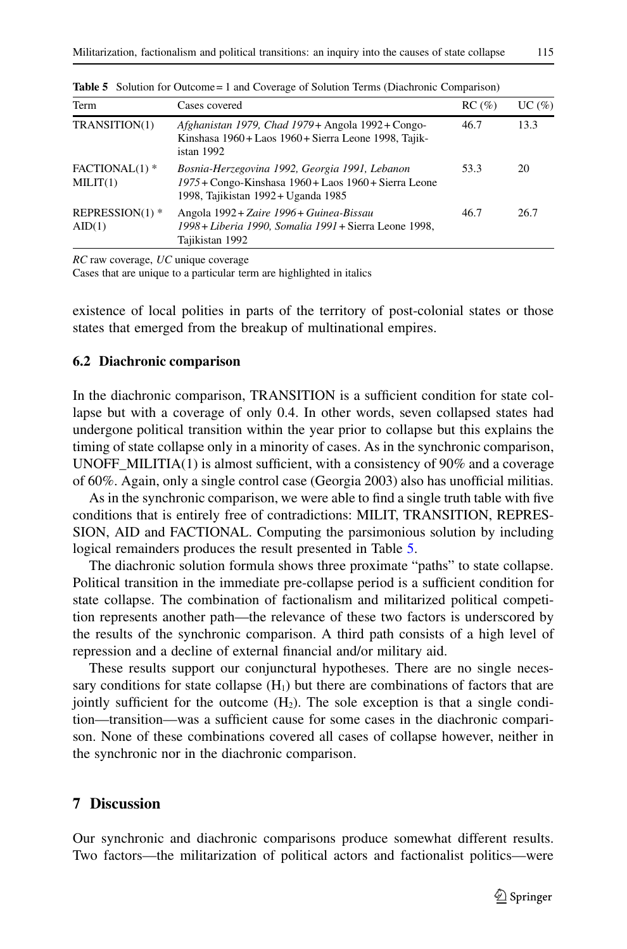| Term                         | Cases covered                                                                                                                                  | $RC (\%)$ | UC(%) |
|------------------------------|------------------------------------------------------------------------------------------------------------------------------------------------|-----------|-------|
| TRANSITION(1)                | Afghanistan 1979, Chad 1979+ Angola 1992+ Congo-<br>Kinshasa 1960+ Laos 1960+ Sierra Leone 1998, Tajik-<br>istan 1992                          | 46.7      | 13.3  |
| $FACTIONAL(1)$ *<br>MILIT(1) | Bosnia-Herzegovina 1992, Georgia 1991, Lebanon<br>1975 + Congo-Kinshasa 1960 + Laos 1960 + Sierra Leone<br>1998, Tajikistan 1992 + Uganda 1985 | 53.3      | 20    |
| REPRESSION(1) $*$<br>AID(1)  | Angola 1992 + Zaire 1996 + Guinea-Bissau<br>1998 + Liberia 1990, Somalia 1991 + Sierra Leone 1998,<br>Tajikistan 1992                          | 46.7      | 26.7  |

<span id="page-16-0"></span>**Table 5** Solution for Outcome = 1 and Coverage of Solution Terms (Diachronic Comparison)

*RC* raw coverage, *UC* unique coverage

Cases that are unique to a particular term are highlighted in italics

existence of local polities in parts of the territory of post-colonial states or those states that emerged from the breakup of multinational empires.

#### **6.2 Diachronic comparison**

In the diachronic comparison, TRANSITION is a sufficient condition for state collapse but with a coverage of only 0.4. In other words, seven collapsed states had undergone political transition within the year prior to collapse but this explains the timing of state collapse only in a minority of cases. As in the synchronic comparison, UNOFF MILITIA(1) is almost sufficient, with a consistency of 90% and a coverage of 60%. Again, only a single control case (Georgia 2003) also has unofficial militias.

As in the synchronic comparison, we were able to find a single truth table with five conditions that is entirely free of contradictions: MILIT, TRANSITION, REPRES-SION, AID and FACTIONAL. Computing the parsimonious solution by including logical remainders produces the result presented in Table [5.](#page-16-0)

The diachronic solution formula shows three proximate "paths" to state collapse. Political transition in the immediate pre-collapse period is a sufficient condition for state collapse. The combination of factionalism and militarized political competition represents another path—the relevance of these two factors is underscored by the results of the synchronic comparison. A third path consists of a high level of repression and a decline of external financial and/or military aid.

These results support our conjunctural hypotheses. There are no single necessary conditions for state collapse  $(H_1)$  but there are combinations of factors that are jointly sufficient for the outcome  $(H_2)$ . The sole exception is that a single condition—transition—was a sufficient cause for some cases in the diachronic comparison. None of these combinations covered all cases of collapse however, neither in the synchronic nor in the diachronic comparison.

#### **7 Discussion**

Our synchronic and diachronic comparisons produce somewhat different results. Two factors—the militarization of political actors and factionalist politics—were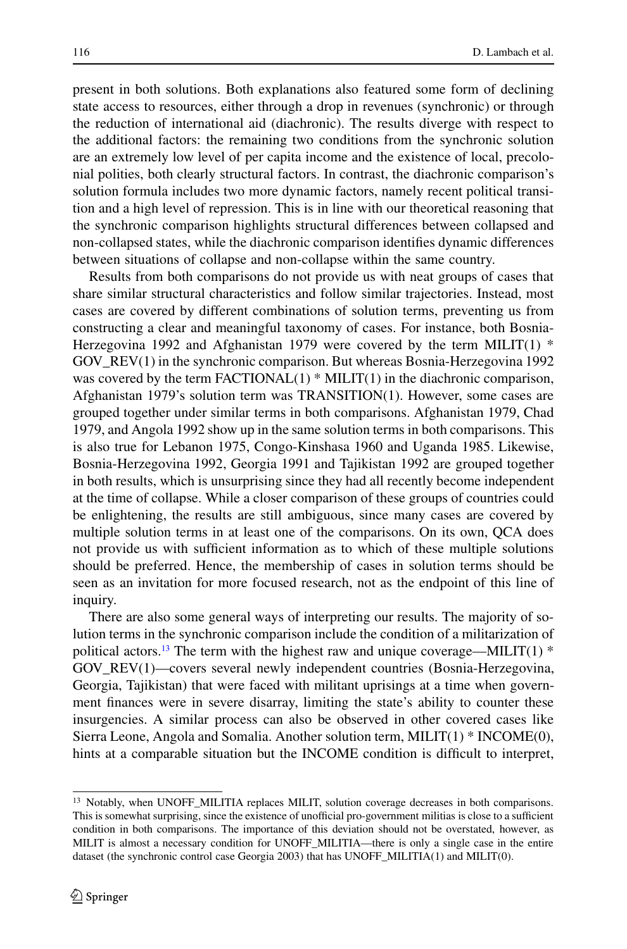present in both solutions. Both explanations also featured some form of declining state access to resources, either through a drop in revenues (synchronic) or through the reduction of international aid (diachronic). The results diverge with respect to the additional factors: the remaining two conditions from the synchronic solution are an extremely low level of per capita income and the existence of local, precolonial polities, both clearly structural factors. In contrast, the diachronic comparison's solution formula includes two more dynamic factors, namely recent political transition and a high level of repression. This is in line with our theoretical reasoning that the synchronic comparison highlights structural differences between collapsed and non-collapsed states, while the diachronic comparison identifies dynamic differences between situations of collapse and non-collapse within the same country.

Results from both comparisons do not provide us with neat groups of cases that share similar structural characteristics and follow similar trajectories. Instead, most cases are covered by different combinations of solution terms, preventing us from constructing a clear and meaningful taxonomy of cases. For instance, both Bosnia-Herzegovina 1992 and Afghanistan 1979 were covered by the term MILIT(1)  $*$ GOV\_REV(1) in the synchronic comparison. But whereas Bosnia-Herzegovina 1992 was covered by the term  $FACTIONAL(1) * MILIT(1)$  in the diachronic comparison, Afghanistan 1979's solution term was TRANSITION(1). However, some cases are grouped together under similar terms in both comparisons. Afghanistan 1979, Chad 1979, and Angola 1992 show up in the same solution terms in both comparisons. This is also true for Lebanon 1975, Congo-Kinshasa 1960 and Uganda 1985. Likewise, Bosnia-Herzegovina 1992, Georgia 1991 and Tajikistan 1992 are grouped together in both results, which is unsurprising since they had all recently become independent at the time of collapse. While a closer comparison of these groups of countries could be enlightening, the results are still ambiguous, since many cases are covered by multiple solution terms in at least one of the comparisons. On its own, QCA does not provide us with sufficient information as to which of these multiple solutions should be preferred. Hence, the membership of cases in solution terms should be seen as an invitation for more focused research, not as the endpoint of this line of inquiry.

There are also some general ways of interpreting our results. The majority of solution terms in the synchronic comparison include the condition of a militarization of political actors.<sup>13</sup> The term with the highest raw and unique coverage—MILIT(1)  $*$ GOV\_REV(1)—covers several newly independent countries (Bosnia-Herzegovina, Georgia, Tajikistan) that were faced with militant uprisings at a time when government finances were in severe disarray, limiting the state's ability to counter these insurgencies. A similar process can also be observed in other covered cases like Sierra Leone, Angola and Somalia. Another solution term, MILIT(1) \* INCOME(0), hints at a comparable situation but the INCOME condition is difficult to interpret,

<span id="page-17-0"></span><sup>&</sup>lt;sup>13</sup> Notably, when UNOFF\_MILITIA replaces MILIT, solution coverage decreases in both comparisons. This is somewhat surprising, since the existence of unofficial pro-government militias is close to a sufficient condition in both comparisons. The importance of this deviation should not be overstated, however, as MILIT is almost a necessary condition for UNOFF\_MILITIA—there is only a single case in the entire dataset (the synchronic control case Georgia 2003) that has UNOFF\_MILITIA(1) and MILIT(0).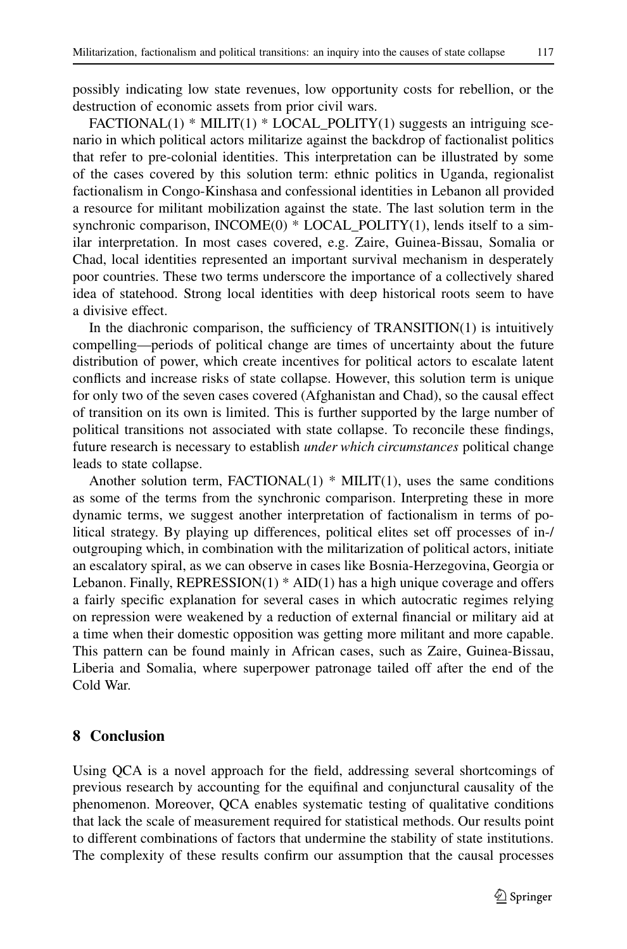possibly indicating low state revenues, low opportunity costs for rebellion, or the destruction of economic assets from prior civil wars.

 $FACTIONAL(1) * MILIT(1) * LOCAL\_POLITY(1) suggests an intriguing sec$ nario in which political actors militarize against the backdrop of factionalist politics that refer to pre-colonial identities. This interpretation can be illustrated by some of the cases covered by this solution term: ethnic politics in Uganda, regionalist factionalism in Congo-Kinshasa and confessional identities in Lebanon all provided a resource for militant mobilization against the state. The last solution term in the synchronic comparison, INCOME $(0)$  \* LOCAL POLITY $(1)$ , lends itself to a similar interpretation. In most cases covered, e.g. Zaire, Guinea-Bissau, Somalia or Chad, local identities represented an important survival mechanism in desperately poor countries. These two terms underscore the importance of a collectively shared idea of statehood. Strong local identities with deep historical roots seem to have a divisive effect.

In the diachronic comparison, the sufficiency of TRANSITION(1) is intuitively compelling—periods of political change are times of uncertainty about the future distribution of power, which create incentives for political actors to escalate latent conflicts and increase risks of state collapse. However, this solution term is unique for only two of the seven cases covered (Afghanistan and Chad), so the causal effect of transition on its own is limited. This is further supported by the large number of political transitions not associated with state collapse. To reconcile these findings, future research is necessary to establish *under which circumstances* political change leads to state collapse.

Another solution term,  $FACTIONAL(1) * MILIT(1)$ , uses the same conditions as some of the terms from the synchronic comparison. Interpreting these in more dynamic terms, we suggest another interpretation of factionalism in terms of political strategy. By playing up differences, political elites set off processes of in-/ outgrouping which, in combination with the militarization of political actors, initiate an escalatory spiral, as we can observe in cases like Bosnia-Herzegovina, Georgia or Lebanon. Finally,  $REPRESSION(1) * AID(1)$  has a high unique coverage and offers a fairly specific explanation for several cases in which autocratic regimes relying on repression were weakened by a reduction of external financial or military aid at a time when their domestic opposition was getting more militant and more capable. This pattern can be found mainly in African cases, such as Zaire, Guinea-Bissau, Liberia and Somalia, where superpower patronage tailed off after the end of the Cold War.

## **8 Conclusion**

Using QCA is a novel approach for the field, addressing several shortcomings of previous research by accounting for the equifinal and conjunctural causality of the phenomenon. Moreover, QCA enables systematic testing of qualitative conditions that lack the scale of measurement required for statistical methods. Our results point to different combinations of factors that undermine the stability of state institutions. The complexity of these results confirm our assumption that the causal processes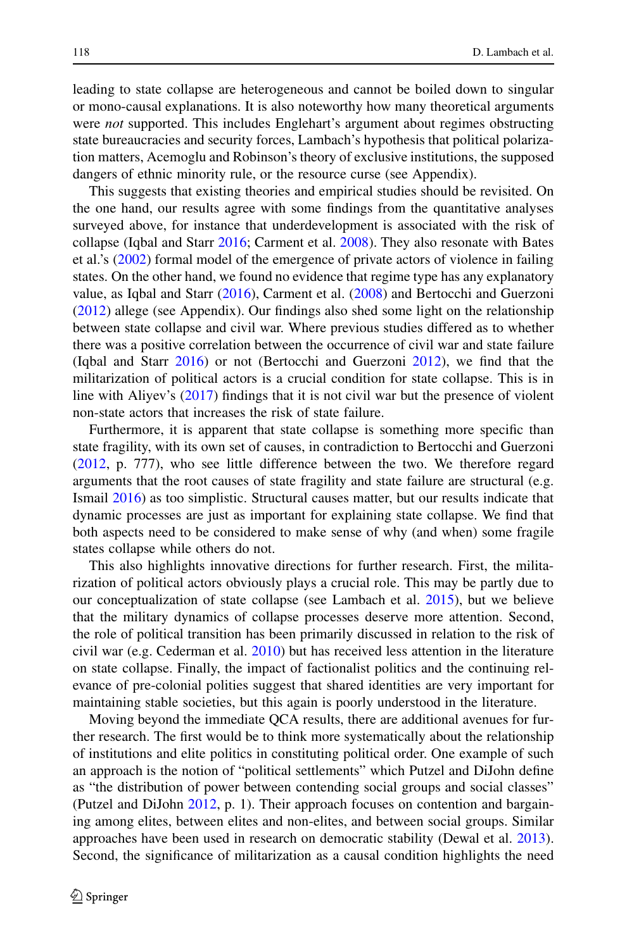leading to state collapse are heterogeneous and cannot be boiled down to singular or mono-causal explanations. It is also noteworthy how many theoretical arguments were *not* supported. This includes Englehart's argument about regimes obstructing state bureaucracies and security forces, Lambach's hypothesis that political polarization matters, Acemoglu and Robinson's theory of exclusive institutions, the supposed dangers of ethnic minority rule, or the resource curse (see Appendix).

This suggests that existing theories and empirical studies should be revisited. On the one hand, our results agree with some findings from the quantitative analyses surveyed above, for instance that underdevelopment is associated with the risk of collapse (Iqbal and Starr [2016;](#page-22-4) Carment et al. [2008\)](#page-21-2). They also resonate with Bates et al.'s [\(2002\)](#page-21-9) formal model of the emergence of private actors of violence in failing states. On the other hand, we found no evidence that regime type has any explanatory value, as Iqbal and Starr [\(2016\)](#page-22-4), Carment et al. [\(2008\)](#page-21-2) and Bertocchi and Guerzoni [\(2012\)](#page-21-3) allege (see Appendix). Our findings also shed some light on the relationship between state collapse and civil war. Where previous studies differed as to whether there was a positive correlation between the occurrence of civil war and state failure (Iqbal and Starr [2016\)](#page-22-4) or not (Bertocchi and Guerzoni [2012\)](#page-21-3), we find that the militarization of political actors is a crucial condition for state collapse. This is in line with Aliyev's [\(2017\)](#page-21-22) findings that it is not civil war but the presence of violent non-state actors that increases the risk of state failure.

Furthermore, it is apparent that state collapse is something more specific than state fragility, with its own set of causes, in contradiction to Bertocchi and Guerzoni [\(2012,](#page-21-3) p. 777), who see little difference between the two. We therefore regard arguments that the root causes of state fragility and state failure are structural (e.g. Ismail [2016\)](#page-22-18) as too simplistic. Structural causes matter, but our results indicate that dynamic processes are just as important for explaining state collapse. We find that both aspects need to be considered to make sense of why (and when) some fragile states collapse while others do not.

This also highlights innovative directions for further research. First, the militarization of political actors obviously plays a crucial role. This may be partly due to our conceptualization of state collapse (see Lambach et al. [2015\)](#page-22-12), but we believe that the military dynamics of collapse processes deserve more attention. Second, the role of political transition has been primarily discussed in relation to the risk of civil war (e.g. Cederman et al. [2010\)](#page-21-23) but has received less attention in the literature on state collapse. Finally, the impact of factionalist politics and the continuing relevance of pre-colonial polities suggest that shared identities are very important for maintaining stable societies, but this again is poorly understood in the literature.

Moving beyond the immediate QCA results, there are additional avenues for further research. The first would be to think more systematically about the relationship of institutions and elite politics in constituting political order. One example of such an approach is the notion of "political settlements" which Putzel and DiJohn define as "the distribution of power between contending social groups and social classes" (Putzel and DiJohn [2012,](#page-22-15) p. 1). Their approach focuses on contention and bargaining among elites, between elites and non-elites, and between social groups. Similar approaches have been used in research on democratic stability (Dewal et al. [2013\)](#page-22-17). Second, the significance of militarization as a causal condition highlights the need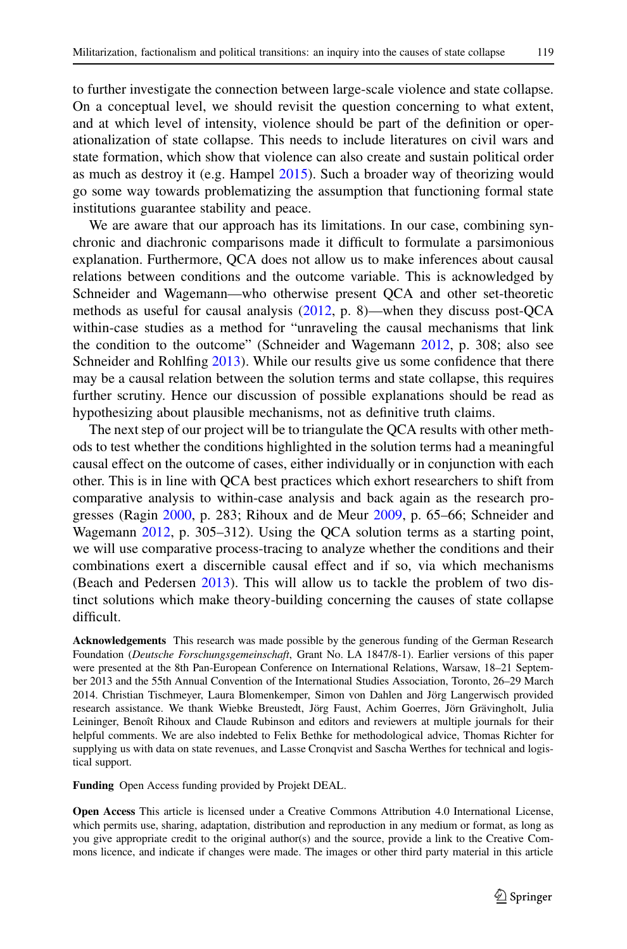to further investigate the connection between large-scale violence and state collapse. On a conceptual level, we should revisit the question concerning to what extent, and at which level of intensity, violence should be part of the definition or operationalization of state collapse. This needs to include literatures on civil wars and state formation, which show that violence can also create and sustain political order as much as destroy it (e.g. Hampel [2015\)](#page-22-26). Such a broader way of theorizing would go some way towards problematizing the assumption that functioning formal state institutions guarantee stability and peace.

We are aware that our approach has its limitations. In our case, combining synchronic and diachronic comparisons made it difficult to formulate a parsimonious explanation. Furthermore, QCA does not allow us to make inferences about causal relations between conditions and the outcome variable. This is acknowledged by Schneider and Wagemann—who otherwise present QCA and other set-theoretic methods as useful for causal analysis [\(2012,](#page-23-12) p. 8)—when they discuss post-QCA within-case studies as a method for "unraveling the causal mechanisms that link the condition to the outcome" (Schneider and Wagemann  $2012$ , p. 308; also see Schneider and Rohlfing [2013\)](#page-23-18). While our results give us some confidence that there may be a causal relation between the solution terms and state collapse, this requires further scrutiny. Hence our discussion of possible explanations should be read as hypothesizing about plausible mechanisms, not as definitive truth claims.

The next step of our project will be to triangulate the QCA results with other methods to test whether the conditions highlighted in the solution terms had a meaningful causal effect on the outcome of cases, either individually or in conjunction with each other. This is in line with QCA best practices which exhort researchers to shift from comparative analysis to within-case analysis and back again as the research progresses (Ragin [2000,](#page-23-14) p. 283; Rihoux and de Meur [2009,](#page-23-15) p. 65–66; Schneider and Wagemann [2012,](#page-23-12) p. 305–312). Using the QCA solution terms as a starting point, we will use comparative process-tracing to analyze whether the conditions and their combinations exert a discernible causal effect and if so, via which mechanisms (Beach and Pedersen [2013\)](#page-21-24). This will allow us to tackle the problem of two distinct solutions which make theory-building concerning the causes of state collapse difficult.

**Acknowledgements** This research was made possible by the generous funding of the German Research Foundation (*Deutsche Forschungsgemeinschaft*, Grant No. LA 1847/8-1). Earlier versions of this paper were presented at the 8th Pan-European Conference on International Relations, Warsaw, 18–21 September 2013 and the 55th Annual Convention of the International Studies Association, Toronto, 26–29 March 2014. Christian Tischmeyer, Laura Blomenkemper, Simon von Dahlen and Jörg Langerwisch provided research assistance. We thank Wiebke Breustedt, Jörg Faust, Achim Goerres, Jörn Grävingholt, Julia Leininger, Benoît Rihoux and Claude Rubinson and editors and reviewers at multiple journals for their helpful comments. We are also indebted to Felix Bethke for methodological advice, Thomas Richter for supplying us with data on state revenues, and Lasse Cronqvist and Sascha Werthes for technical and logistical support.

**Funding** Open Access funding provided by Projekt DEAL.

**Open Access** This article is licensed under a Creative Commons Attribution 4.0 International License, which permits use, sharing, adaptation, distribution and reproduction in any medium or format, as long as you give appropriate credit to the original author(s) and the source, provide a link to the Creative Commons licence, and indicate if changes were made. The images or other third party material in this article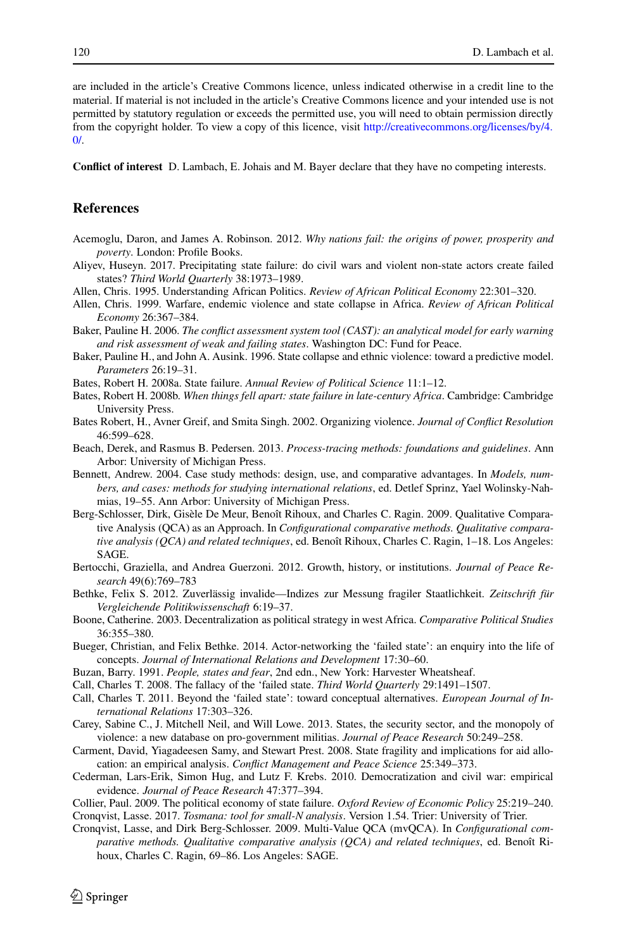are included in the article's Creative Commons licence, unless indicated otherwise in a credit line to the material. If material is not included in the article's Creative Commons licence and your intended use is not permitted by statutory regulation or exceeds the permitted use, you will need to obtain permission directly from the copyright holder. To view a copy of this licence, visit [http://creativecommons.org/licenses/by/4.](http://creativecommons.org/licenses/by/4.0/)  $\Omega$ 

**Conflict of interest** D. Lambach, E. Johais and M. Bayer declare that they have no competing interests.

#### **References**

- <span id="page-21-22"></span><span id="page-21-13"></span>Acemoglu, Daron, and James A. Robinson. 2012. *Why nations fail: the origins of power, prosperity and poverty*. London: Profile Books.
- <span id="page-21-14"></span>Aliyev, Huseyn. 2017. Precipitating state failure: do civil wars and violent non-state actors create failed states? *Third World Quarterly* 38:1973–1989.
- <span id="page-21-15"></span>Allen, Chris. 1995. Understanding African Politics. *Review of African Political Economy* 22:301–320.
- Allen, Chris. 1999. Warfare, endemic violence and state collapse in Africa. *Review of African Political Economy* 26:367–384.
- <span id="page-21-4"></span><span id="page-21-1"></span>Baker, Pauline H. 2006. *The conflict assessment system tool (CAST): an analytical model for early warning and risk assessment of weak and failing states*. Washington DC: Fund for Peace.
- Baker, Pauline H., and John A. Ausink. 1996. State collapse and ethnic violence: toward a predictive model. *Parameters* 26:19–31.
- <span id="page-21-10"></span><span id="page-21-6"></span>Bates, Robert H. 2008a. State failure. *Annual Review of Political Science* 11:1–12.
- <span id="page-21-9"></span>Bates, Robert H. 2008b. *When things fell apart: state failure in late-century Africa*. Cambridge: Cambridge University Press.
- Bates Robert, H., Avner Greif, and Smita Singh. 2002. Organizing violence. *Journal of Conflict Resolution* 46:599–628.
- <span id="page-21-24"></span><span id="page-21-18"></span>Beach, Derek, and Rasmus B. Pedersen. 2013. *Process-tracing methods: foundations and guidelines*. Ann Arbor: University of Michigan Press.
- Bennett, Andrew. 2004. Case study methods: design, use, and comparative advantages. In *Models, numbers, and cases: methods for studying international relations*, ed. Detlef Sprinz, Yael Wolinsky-Nahmias, 19–55. Ann Arbor: University of Michigan Press.
- <span id="page-21-19"></span>Berg-Schlosser, Dirk, Gisèle De Meur, Benoît Rihoux, and Charles C. Ragin. 2009. Qualitative Comparative Analysis (QCA) as an Approach. In *Configurational comparative methods. Qualitative comparative analysis (QCA) and related techniques*, ed. Benoît Rihoux, Charles C. Ragin, 1–18. Los Angeles: SAGE.
- <span id="page-21-5"></span><span id="page-21-3"></span>Bertocchi, Graziella, and Andrea Guerzoni. 2012. Growth, history, or institutions. *Journal of Peace Research* 49(6):769–783
- Bethke, Felix S. 2012. Zuverlässig invalide—Indizes zur Messung fragiler Staatlichkeit. *Zeitschrift für Vergleichende Politikwissenschaft* 6:19–37.
- <span id="page-21-17"></span>Boone, Catherine. 2003. Decentralization as political strategy in west Africa. *Comparative Political Studies* 36:355–380.
- <span id="page-21-0"></span>Bueger, Christian, and Felix Bethke. 2014. Actor-networking the 'failed state': an enquiry into the life of concepts. *Journal of International Relations and Development* 17:30–60.
- <span id="page-21-16"></span><span id="page-21-8"></span>Buzan, Barry. 1991. *People, states and fear*, 2nd edn., New York: Harvester Wheatsheaf.
- <span id="page-21-7"></span>Call, Charles T. 2008. The fallacy of the 'failed state. *Third World Quarterly* 29:1491–1507.
- Call, Charles T. 2011. Beyond the 'failed state': toward conceptual alternatives. *European Journal of International Relations* 17:303–326.
- <span id="page-21-11"></span>Carey, Sabine C., J. Mitchell Neil, and Will Lowe. 2013. States, the security sector, and the monopoly of violence: a new database on pro-government militias. *Journal of Peace Research* 50:249–258.
- <span id="page-21-23"></span><span id="page-21-2"></span>Carment, David, Yiagadeesen Samy, and Stewart Prest. 2008. State fragility and implications for aid allocation: an empirical analysis. *Conflict Management and Peace Science* 25:349–373.
- Cederman, Lars-Erik, Simon Hug, and Lutz F. Krebs. 2010. Democratization and civil war: empirical evidence. *Journal of Peace Research* 47:377–394.
- <span id="page-21-21"></span><span id="page-21-12"></span>Collier, Paul. 2009. The political economy of state failure. *Oxford Review of Economic Policy* 25:219–240. Cronqvist, Lasse. 2017. *Tosmana: tool for small-N analysis*. Version 1.54. Trier: University of Trier.
- <span id="page-21-20"></span>Cronqvist, Lasse, and Dirk Berg-Schlosser. 2009. Multi-Value QCA (mvQCA). In *Configurational comparative methods. Qualitative comparative analysis (QCA) and related techniques*, ed. Benoît Rihoux, Charles C. Ragin, 69–86. Los Angeles: SAGE.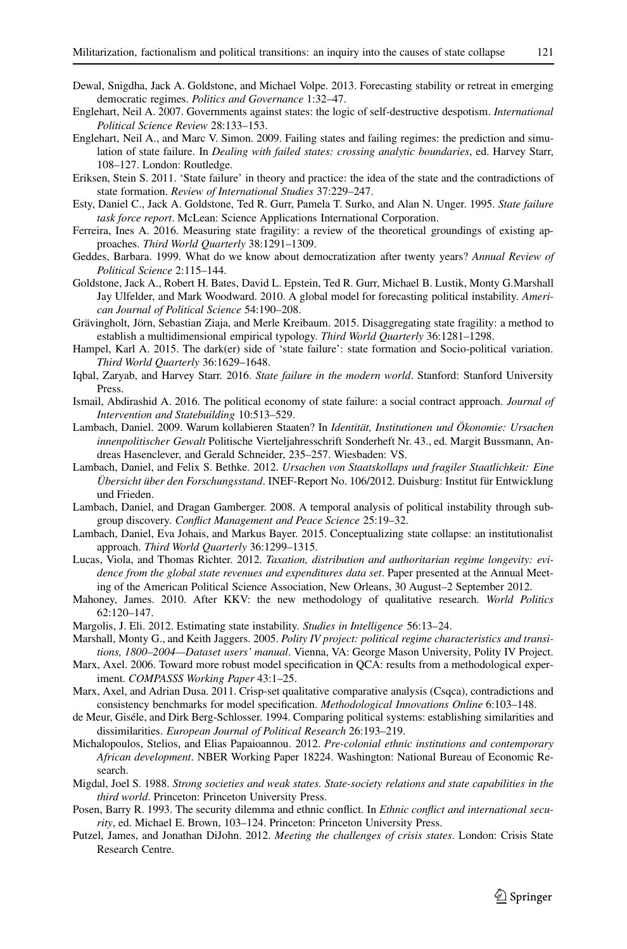- <span id="page-22-17"></span><span id="page-22-9"></span>Dewal, Snigdha, Jack A. Goldstone, and Michael Volpe. 2013. Forecasting stability or retreat in emerging democratic regimes. *Politics and Governance* 1:32–47.
- Englehart, Neil A. 2007. Governments against states: the logic of self-destructive despotism. *International Political Science Review* 28:133–153.
- <span id="page-22-7"></span>Englehart, Neil A., and Marc V. Simon. 2009. Failing states and failing regimes: the prediction and simulation of state failure. In *Dealing with failed states: crossing analytic boundaries*, ed. Harvey Starr, 108–127. London: Routledge.
- <span id="page-22-11"></span><span id="page-22-1"></span>Eriksen, Stein S. 2011. 'State failure' in theory and practice: the idea of the state and the contradictions of state formation. *Review of International Studies* 37:229–247.
- <span id="page-22-13"></span>Esty, Daniel C., Jack A. Goldstone, Ted R. Gurr, Pamela T. Surko, and Alan N. Unger. 1995. *State failure task force report*. McLean: Science Applications International Corporation.
- Ferreira, Ines A. 2016. Measuring state fragility: a review of the theoretical groundings of existing approaches. *Third World Quarterly* 38:1291–1309.
- <span id="page-22-16"></span><span id="page-22-2"></span>Geddes, Barbara. 1999. What do we know about democratization after twenty years? *Annual Review of Political Science* 2:115–144.
- Goldstone, Jack A., Robert H. Bates, David L. Epstein, Ted R. Gurr, Michael B. Lustik, Monty G.Marshall Jay Ulfelder, and Mark Woodward. 2010. A global model for forecasting political instability. *American Journal of Political Science* 54:190–208.
- <span id="page-22-26"></span><span id="page-22-8"></span>Grävingholt, Jörn, Sebastian Ziaja, and Merle Kreibaum. 2015. Disaggregating state fragility: a method to establish a multidimensional empirical typology. *Third World Quarterly* 36:1281–1298.
- Hampel, Karl A. 2015. The dark(er) side of 'state failure': state formation and Socio-political variation. *Third World Quarterly* 36:1629–1648.
- <span id="page-22-4"></span>Iqbal, Zaryab, and Harvey Starr. 2016. *State failure in the modern world*. Stanford: Stanford University Press.
- <span id="page-22-18"></span><span id="page-22-10"></span>Ismail, Abdirashid A. 2016. The political economy of state failure: a social contract approach. *Journal of Intervention and Statebuilding* 10:513–529.
- Lambach, Daniel. 2009. Warum kollabieren Staaten? In *Identität, Institutionen und Ökonomie: Ursachen innenpolitischer Gewalt* Politische Vierteljahresschrift Sonderheft Nr. 43., ed. Margit Bussmann, Andreas Hasenclever, and Gerald Schneider, 235–257. Wiesbaden: VS.
- <span id="page-22-0"></span>Lambach, Daniel, and Felix S. Bethke. 2012. *Ursachen von Staatskollaps und fragiler Staatlichkeit: Eine Übersicht über den Forschungsstand*. INEF-Report No. 106/2012. Duisburg: Institut für Entwicklung und Frieden.
- <span id="page-22-12"></span><span id="page-22-3"></span>Lambach, Daniel, and Dragan Gamberger. 2008. A temporal analysis of political instability through subgroup discovery. *Conflict Management and Peace Science* 25:19–32.
- <span id="page-22-25"></span>Lambach, Daniel, Eva Johais, and Markus Bayer. 2015. Conceptualizing state collapse: an institutionalist approach. *Third World Quarterly* 36:1299–1315.
- Lucas, Viola, and Thomas Richter. 2012. *Taxation, distribution and authoritarian regime longevity: evidence from the global state revenues and expenditures data set*. Paper presented at the Annual Meeting of the American Political Science Association, New Orleans, 30 August–2 September 2012.
- <span id="page-22-22"></span>Mahoney, James. 2010. After KKV: the new methodology of qualitative research. *World Politics* 62:120–147.
- <span id="page-22-6"></span><span id="page-22-5"></span>Margolis, J. Eli. 2012. Estimating state instability. *Studies in Intelligence* 56:13–24.
- Marshall, Monty G., and Keith Jaggers. 2005. *Polity IV project: political regime characteristics and transitions, 1800–2004—Dataset users' manual*. Vienna, VA: George Mason University, Polity IV Project.
- <span id="page-22-23"></span>Marx, Axel. 2006. Toward more robust model specification in QCA: results from a methodological experiment. *COMPASSS Working Paper* 43:1–25.
- <span id="page-22-24"></span>Marx, Axel, and Adrian Dusa. 2011. Crisp-set qualitative comparative analysis (Csqca), contradictions and consistency benchmarks for model specification. *Methodological Innovations Online* 6:103–148.
- <span id="page-22-21"></span>de Meur, Giséle, and Dirk Berg-Schlosser. 1994. Comparing political systems: establishing similarities and dissimilarities. *European Journal of Political Research* 26:193–219.
- <span id="page-22-20"></span>Michalopoulos, Stelios, and Elias Papaioannou. 2012. *Pre-colonial ethnic institutions and contemporary African development*. NBER Working Paper 18224. Washington: National Bureau of Economic Research.
- <span id="page-22-14"></span>Migdal, Joel S. 1988. *Strong societies and weak states. State-society relations and state capabilities in the third world*. Princeton: Princeton University Press.
- <span id="page-22-19"></span>Posen, Barry R. 1993. The security dilemma and ethnic conflict. In *Ethnic conflict and international security*, ed. Michael E. Brown, 103–124. Princeton: Princeton University Press.
- <span id="page-22-15"></span>Putzel, James, and Jonathan DiJohn. 2012. *Meeting the challenges of crisis states*. London: Crisis State Research Centre.